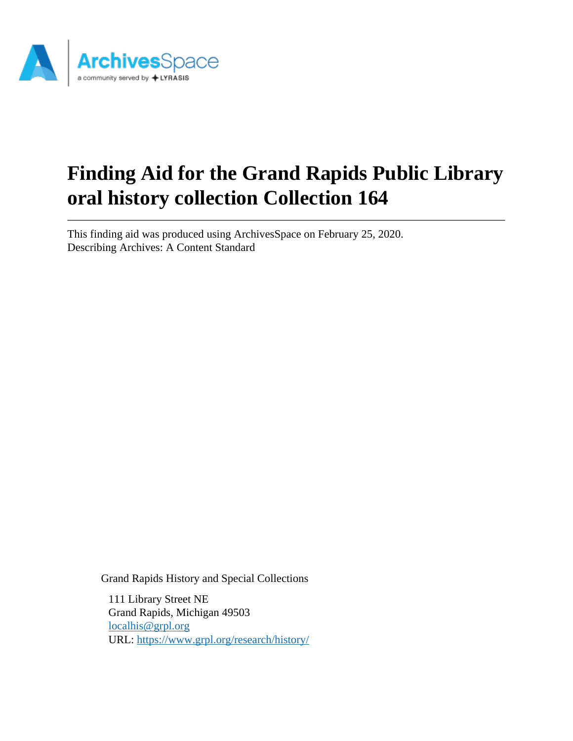

# **Finding Aid for the Grand Rapids Public Library oral history collection Collection 164**

This finding aid was produced using ArchivesSpace on February 25, 2020. Describing Archives: A Content Standard

Grand Rapids History and Special Collections

111 Library Street NE Grand Rapids, Michigan 49503 [localhis@grpl.org](mailto:localhis@grpl.org) URL:<https://www.grpl.org/research/history/>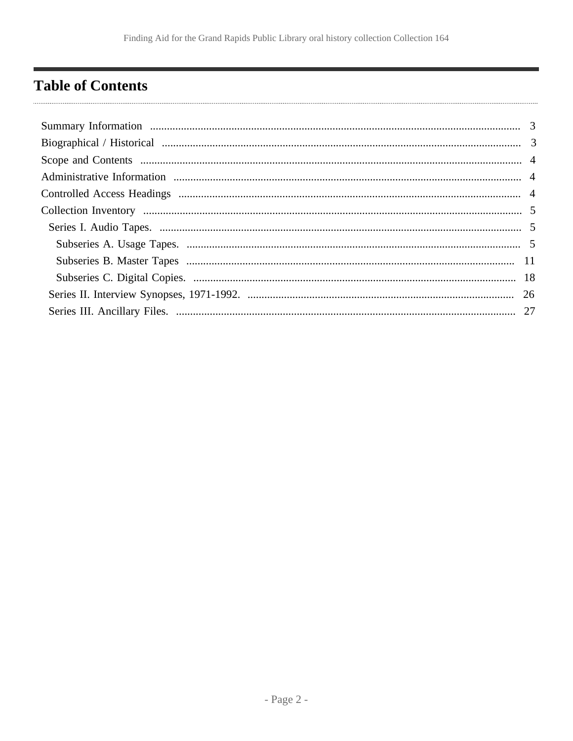## <span id="page-1-0"></span>**Table of Contents**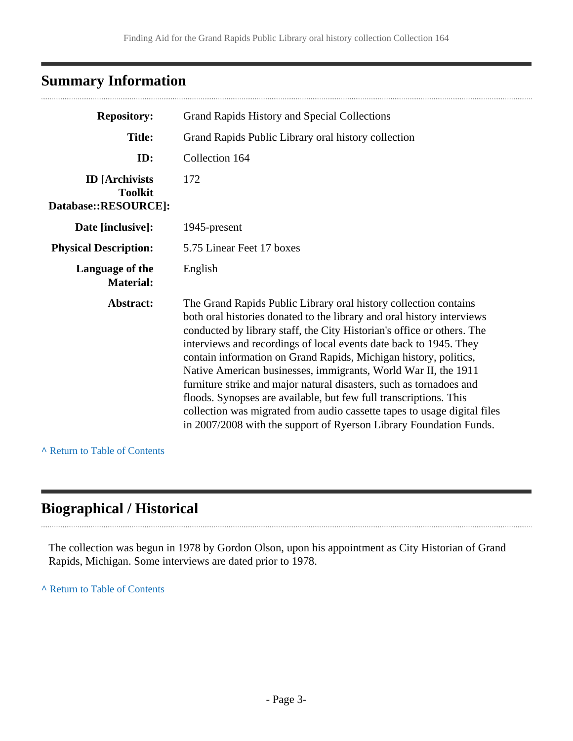## <span id="page-2-0"></span>**Summary Information**

| <b>Repository:</b>                                              | Grand Rapids History and Special Collections                                                                                                                                                                                                                                                                                                                                                                                                                                                                                                                                                                                                                                                                                  |
|-----------------------------------------------------------------|-------------------------------------------------------------------------------------------------------------------------------------------------------------------------------------------------------------------------------------------------------------------------------------------------------------------------------------------------------------------------------------------------------------------------------------------------------------------------------------------------------------------------------------------------------------------------------------------------------------------------------------------------------------------------------------------------------------------------------|
| <b>Title:</b>                                                   | Grand Rapids Public Library oral history collection                                                                                                                                                                                                                                                                                                                                                                                                                                                                                                                                                                                                                                                                           |
| ID:                                                             | Collection 164                                                                                                                                                                                                                                                                                                                                                                                                                                                                                                                                                                                                                                                                                                                |
| <b>ID</b> [Archivists<br><b>Toolkit</b><br>Database::RESOURCE]: | 172                                                                                                                                                                                                                                                                                                                                                                                                                                                                                                                                                                                                                                                                                                                           |
| Date [inclusive]:                                               | 1945-present                                                                                                                                                                                                                                                                                                                                                                                                                                                                                                                                                                                                                                                                                                                  |
| <b>Physical Description:</b>                                    | 5.75 Linear Feet 17 boxes                                                                                                                                                                                                                                                                                                                                                                                                                                                                                                                                                                                                                                                                                                     |
| Language of the<br><b>Material:</b>                             | English                                                                                                                                                                                                                                                                                                                                                                                                                                                                                                                                                                                                                                                                                                                       |
| Abstract:                                                       | The Grand Rapids Public Library oral history collection contains<br>both oral histories donated to the library and oral history interviews<br>conducted by library staff, the City Historian's office or others. The<br>interviews and recordings of local events date back to 1945. They<br>contain information on Grand Rapids, Michigan history, politics,<br>Native American businesses, immigrants, World War II, the 1911<br>furniture strike and major natural disasters, such as tornadoes and<br>floods. Synopses are available, but few full transcriptions. This<br>collection was migrated from audio cassette tapes to usage digital files<br>in 2007/2008 with the support of Ryerson Library Foundation Funds. |

**^** [Return to Table of Contents](#page-1-0)

## <span id="page-2-1"></span>**Biographical / Historical**

The collection was begun in 1978 by Gordon Olson, upon his appointment as City Historian of Grand Rapids, Michigan. Some interviews are dated prior to 1978.

**^** [Return to Table of Contents](#page-1-0)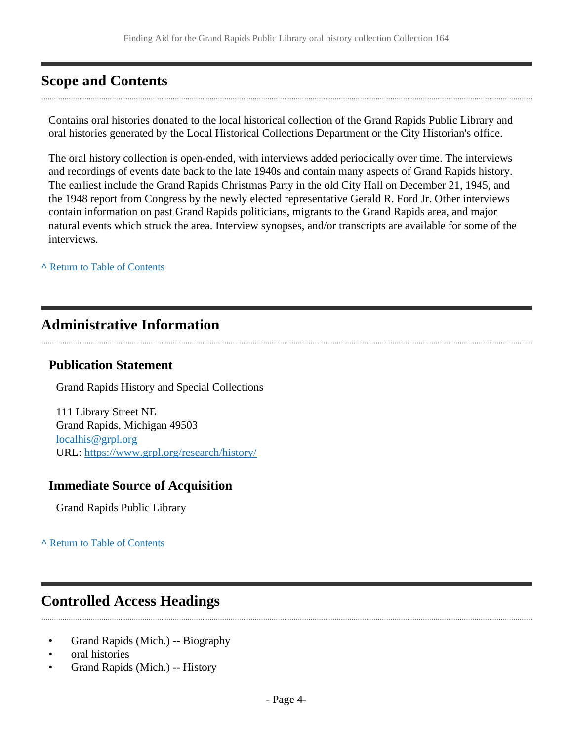### <span id="page-3-0"></span>**Scope and Contents**

Contains oral histories donated to the local historical collection of the Grand Rapids Public Library and oral histories generated by the Local Historical Collections Department or the City Historian's office.

The oral history collection is open-ended, with interviews added periodically over time. The interviews and recordings of events date back to the late 1940s and contain many aspects of Grand Rapids history. The earliest include the Grand Rapids Christmas Party in the old City Hall on December 21, 1945, and the 1948 report from Congress by the newly elected representative Gerald R. Ford Jr. Other interviews contain information on past Grand Rapids politicians, migrants to the Grand Rapids area, and major natural events which struck the area. Interview synopses, and/or transcripts are available for some of the interviews.

**^** [Return to Table of Contents](#page-1-0)

### <span id="page-3-1"></span>**Administrative Information**

### **Publication Statement**

Grand Rapids History and Special Collections

111 Library Street NE Grand Rapids, Michigan 49503 [localhis@grpl.org](mailto:localhis@grpl.org) URL:<https://www.grpl.org/research/history/>

### **Immediate Source of Acquisition**

Grand Rapids Public Library

**^** [Return to Table of Contents](#page-1-0)

## <span id="page-3-2"></span>**Controlled Access Headings**

- Grand Rapids (Mich.) -- Biography
- oral histories
- Grand Rapids (Mich.) -- History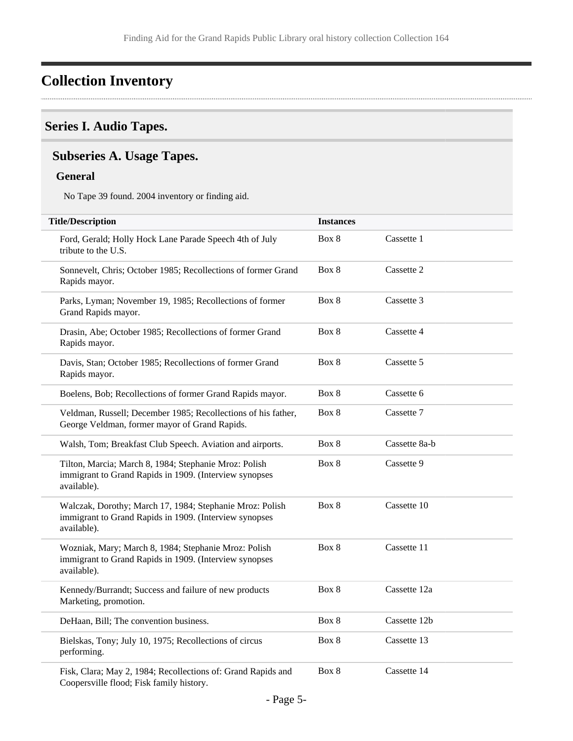## <span id="page-4-0"></span>**Collection Inventory**

### <span id="page-4-1"></span>**Series I. Audio Tapes.**

### <span id="page-4-2"></span>**Subseries A. Usage Tapes.**

#### **General**

No Tape 39 found. 2004 inventory or finding aid.

| <b>Title/Description</b>                                                                                                          | <b>Instances</b> |               |
|-----------------------------------------------------------------------------------------------------------------------------------|------------------|---------------|
| Ford, Gerald; Holly Hock Lane Parade Speech 4th of July<br>tribute to the U.S.                                                    | Box 8            | Cassette 1    |
| Sonnevelt, Chris; October 1985; Recollections of former Grand<br>Rapids mayor.                                                    | Box 8            | Cassette 2    |
| Parks, Lyman; November 19, 1985; Recollections of former<br>Grand Rapids mayor.                                                   | Box 8            | Cassette 3    |
| Drasin, Abe; October 1985; Recollections of former Grand<br>Rapids mayor.                                                         | Box 8            | Cassette 4    |
| Davis, Stan; October 1985; Recollections of former Grand<br>Rapids mayor.                                                         | Box 8            | Cassette 5    |
| Boelens, Bob; Recollections of former Grand Rapids mayor.                                                                         | Box 8            | Cassette 6    |
| Veldman, Russell; December 1985; Recollections of his father,<br>George Veldman, former mayor of Grand Rapids.                    | Box 8            | Cassette 7    |
| Walsh, Tom; Breakfast Club Speech. Aviation and airports.                                                                         | Box 8            | Cassette 8a-b |
| Tilton, Marcia; March 8, 1984; Stephanie Mroz: Polish<br>immigrant to Grand Rapids in 1909. (Interview synopses<br>available).    | Box 8            | Cassette 9    |
| Walczak, Dorothy; March 17, 1984; Stephanie Mroz: Polish<br>immigrant to Grand Rapids in 1909. (Interview synopses<br>available). | Box 8            | Cassette 10   |
| Wozniak, Mary; March 8, 1984; Stephanie Mroz: Polish<br>immigrant to Grand Rapids in 1909. (Interview synopses<br>available).     | Box 8            | Cassette 11   |
| Kennedy/Burrandt; Success and failure of new products<br>Marketing, promotion.                                                    | Box 8            | Cassette 12a  |
| DeHaan, Bill; The convention business.                                                                                            | Box 8            | Cassette 12b  |
| Bielskas, Tony; July 10, 1975; Recollections of circus<br>performing.                                                             | Box 8            | Cassette 13   |
| Fisk, Clara; May 2, 1984; Recollections of: Grand Rapids and<br>Coopersville flood; Fisk family history.                          | Box 8            | Cassette 14   |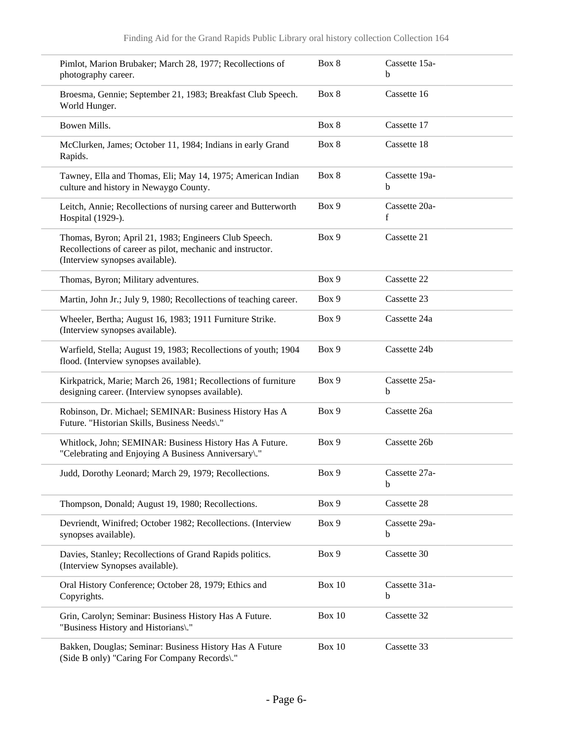| Pimlot, Marion Brubaker; March 28, 1977; Recollections of<br>photography career.                                                                       | Box 8  | Cassette 15a-<br>b |
|--------------------------------------------------------------------------------------------------------------------------------------------------------|--------|--------------------|
| Broesma, Gennie; September 21, 1983; Breakfast Club Speech.<br>World Hunger.                                                                           | Box 8  | Cassette 16        |
| Bowen Mills.                                                                                                                                           | Box 8  | Cassette 17        |
| McClurken, James; October 11, 1984; Indians in early Grand<br>Rapids.                                                                                  | Box 8  | Cassette 18        |
| Tawney, Ella and Thomas, Eli; May 14, 1975; American Indian<br>culture and history in Newaygo County.                                                  | Box 8  | Cassette 19a-<br>b |
| Leitch, Annie; Recollections of nursing career and Butterworth<br>Hospital (1929-).                                                                    | Box 9  | Cassette 20a-<br>f |
| Thomas, Byron; April 21, 1983; Engineers Club Speech.<br>Recollections of career as pilot, mechanic and instructor.<br>(Interview synopses available). | Box 9  | Cassette 21        |
| Thomas, Byron; Military adventures.                                                                                                                    | Box 9  | Cassette 22        |
| Martin, John Jr.; July 9, 1980; Recollections of teaching career.                                                                                      | Box 9  | Cassette 23        |
| Wheeler, Bertha; August 16, 1983; 1911 Furniture Strike.<br>(Interview synopses available).                                                            | Box 9  | Cassette 24a       |
| Warfield, Stella; August 19, 1983; Recollections of youth; 1904<br>flood. (Interview synopses available).                                              | Box 9  | Cassette 24b       |
| Kirkpatrick, Marie; March 26, 1981; Recollections of furniture<br>designing career. (Interview synopses available).                                    | Box 9  | Cassette 25a-<br>b |
| Robinson, Dr. Michael; SEMINAR: Business History Has A<br>Future. "Historian Skills, Business Needs\."                                                 | Box 9  | Cassette 26a       |
| Whitlock, John; SEMINAR: Business History Has A Future.<br>"Celebrating and Enjoying A Business Anniversary)."                                         | Box 9  | Cassette 26b       |
| Judd, Dorothy Leonard; March 29, 1979; Recollections.                                                                                                  | Box 9  | Cassette 27a-<br>b |
| Thompson, Donald; August 19, 1980; Recollections.                                                                                                      | Box 9  | Cassette 28        |
| Devriendt, Winifred; October 1982; Recollections. (Interview<br>synopses available).                                                                   | Box 9  | Cassette 29a-<br>b |
| Davies, Stanley; Recollections of Grand Rapids politics.<br>(Interview Synopses available).                                                            | Box 9  | Cassette 30        |
| Oral History Conference; October 28, 1979; Ethics and<br>Copyrights.                                                                                   | Box 10 | Cassette 31a-<br>b |
| Grin, Carolyn; Seminar: Business History Has A Future.<br>"Business History and Historians\."                                                          | Box 10 | Cassette 32        |
| Bakken, Douglas; Seminar: Business History Has A Future<br>(Side B only) "Caring For Company Records\."                                                | Box 10 | Cassette 33        |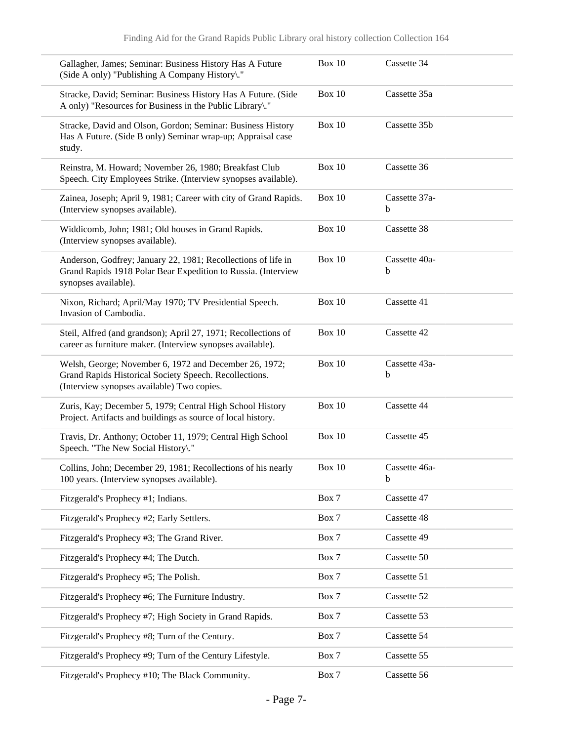| Gallagher, James; Seminar: Business History Has A Future<br>(Side A only) "Publishing A Company History\."                                                     | <b>Box 10</b> | Cassette 34        |
|----------------------------------------------------------------------------------------------------------------------------------------------------------------|---------------|--------------------|
| Stracke, David; Seminar: Business History Has A Future. (Side<br>A only) "Resources for Business in the Public Library\."                                      | <b>Box 10</b> | Cassette 35a       |
| Stracke, David and Olson, Gordon; Seminar: Business History<br>Has A Future. (Side B only) Seminar wrap-up; Appraisal case<br>study.                           | <b>Box 10</b> | Cassette 35b       |
| Reinstra, M. Howard; November 26, 1980; Breakfast Club<br>Speech. City Employees Strike. (Interview synopses available).                                       | Box 10        | Cassette 36        |
| Zainea, Joseph; April 9, 1981; Career with city of Grand Rapids.<br>(Interview synopses available).                                                            | <b>Box 10</b> | Cassette 37a-<br>b |
| Widdicomb, John; 1981; Old houses in Grand Rapids.<br>(Interview synopses available).                                                                          | <b>Box 10</b> | Cassette 38        |
| Anderson, Godfrey; January 22, 1981; Recollections of life in<br>Grand Rapids 1918 Polar Bear Expedition to Russia. (Interview<br>synopses available).         | <b>Box 10</b> | Cassette 40a-<br>b |
| Nixon, Richard; April/May 1970; TV Presidential Speech.<br>Invasion of Cambodia.                                                                               | Box 10        | Cassette 41        |
| Steil, Alfred (and grandson); April 27, 1971; Recollections of<br>career as furniture maker. (Interview synopses available).                                   | Box 10        | Cassette 42        |
| Welsh, George; November 6, 1972 and December 26, 1972;<br>Grand Rapids Historical Society Speech. Recollections.<br>(Interview synopses available) Two copies. | Box 10        | Cassette 43a-<br>b |
| Zuris, Kay; December 5, 1979; Central High School History<br>Project. Artifacts and buildings as source of local history.                                      | Box 10        | Cassette 44        |
| Travis, Dr. Anthony; October 11, 1979; Central High School<br>Speech. "The New Social History\."                                                               | <b>Box 10</b> | Cassette 45        |
| Collins, John; December 29, 1981; Recollections of his nearly<br>100 years. (Interview synopses available).                                                    | Box $10$      | Cassette 46a-<br>b |
| Fitzgerald's Prophecy #1; Indians.                                                                                                                             | Box 7         | Cassette 47        |
| Fitzgerald's Prophecy #2; Early Settlers.                                                                                                                      | Box 7         | Cassette 48        |
| Fitzgerald's Prophecy #3; The Grand River.                                                                                                                     | Box 7         | Cassette 49        |
| Fitzgerald's Prophecy #4; The Dutch.                                                                                                                           | Box 7         | Cassette 50        |
| Fitzgerald's Prophecy #5; The Polish.                                                                                                                          | Box 7         | Cassette 51        |
| Fitzgerald's Prophecy #6; The Furniture Industry.                                                                                                              | Box 7         | Cassette 52        |
| Fitzgerald's Prophecy #7; High Society in Grand Rapids.                                                                                                        | Box 7         | Cassette 53        |
| Fitzgerald's Prophecy #8; Turn of the Century.                                                                                                                 | Box 7         | Cassette 54        |
| Fitzgerald's Prophecy #9; Turn of the Century Lifestyle.                                                                                                       | Box 7         | Cassette 55        |
| Fitzgerald's Prophecy #10; The Black Community.                                                                                                                | Box 7         | Cassette 56        |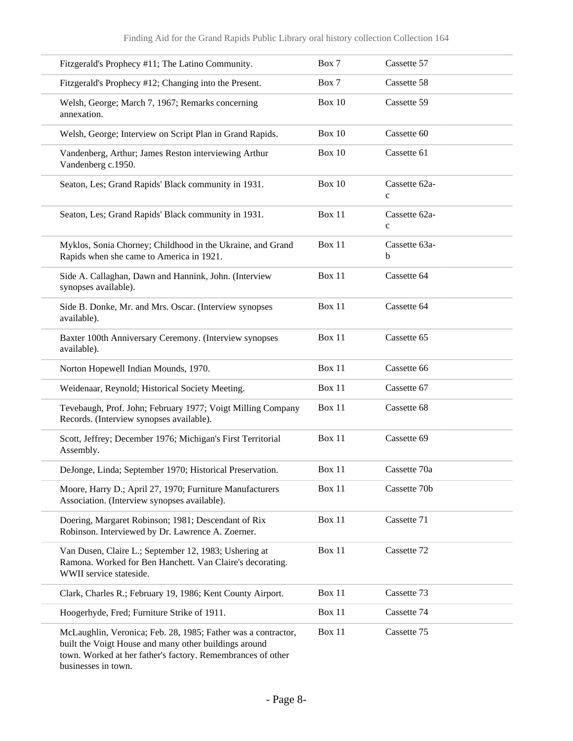| Fitzgerald's Prophecy #11; The Latino Community.                                                                                                                                                             | Box 7         | Cassette 57                   |
|--------------------------------------------------------------------------------------------------------------------------------------------------------------------------------------------------------------|---------------|-------------------------------|
| Fitzgerald's Prophecy #12; Changing into the Present.                                                                                                                                                        | Box 7         | Cassette 58                   |
| Welsh, George; March 7, 1967; Remarks concerning<br>annexation.                                                                                                                                              | Box 10        | Cassette 59                   |
| Welsh, George; Interview on Script Plan in Grand Rapids.                                                                                                                                                     | <b>Box 10</b> | Cassette 60                   |
| Vandenberg, Arthur; James Reston interviewing Arthur<br>Vandenberg c.1950.                                                                                                                                   | Box 10        | Cassette 61                   |
| Seaton, Les; Grand Rapids' Black community in 1931.                                                                                                                                                          | <b>Box 10</b> | Cassette 62a-<br>$\mathbf{C}$ |
| Seaton, Les; Grand Rapids' Black community in 1931.                                                                                                                                                          | Box 11        | Cassette 62a-<br>$\mathbf{C}$ |
| Myklos, Sonia Chorney; Childhood in the Ukraine, and Grand<br>Rapids when she came to America in 1921.                                                                                                       | Box 11        | Cassette 63a-<br>b            |
| Side A. Callaghan, Dawn and Hannink, John. (Interview<br>synopses available).                                                                                                                                | Box 11        | Cassette 64                   |
| Side B. Donke, Mr. and Mrs. Oscar. (Interview synopses<br>available).                                                                                                                                        | Box 11        | Cassette 64                   |
| Baxter 100th Anniversary Ceremony. (Interview synopses<br>available).                                                                                                                                        | Box 11        | Cassette 65                   |
| Norton Hopewell Indian Mounds, 1970.                                                                                                                                                                         | Box 11        | Cassette 66                   |
| Weidenaar, Reynold; Historical Society Meeting.                                                                                                                                                              | Box 11        | Cassette 67                   |
| Tevebaugh, Prof. John; February 1977; Voigt Milling Company<br>Records. (Interview synopses available).                                                                                                      | Box 11        | Cassette 68                   |
| Scott, Jeffrey; December 1976; Michigan's First Territorial<br>Assembly.                                                                                                                                     | Box 11        | Cassette 69                   |
| DeJonge, Linda; September 1970; Historical Preservation.                                                                                                                                                     | <b>Box 11</b> | Cassette 70a                  |
| Moore, Harry D.; April 27, 1970; Furniture Manufacturers<br>Association. (Interview synopses available).                                                                                                     | Box 11        | Cassette 70b                  |
| Doering, Margaret Robinson; 1981; Descendant of Rix<br>Robinson. Interviewed by Dr. Lawrence A. Zoerner.                                                                                                     | Box 11        | Cassette 71                   |
| Van Dusen, Claire L.; September 12, 1983; Ushering at<br>Ramona. Worked for Ben Hanchett. Van Claire's decorating.<br>WWII service stateside.                                                                | Box 11        | Cassette 72                   |
| Clark, Charles R.; February 19, 1986; Kent County Airport.                                                                                                                                                   | Box 11        | Cassette 73                   |
| Hoogerhyde, Fred; Furniture Strike of 1911.                                                                                                                                                                  | Box 11        | Cassette 74                   |
| McLaughlin, Veronica; Feb. 28, 1985; Father was a contractor,<br>built the Voigt House and many other buildings around<br>town. Worked at her father's factory. Remembrances of other<br>businesses in town. | Box 11        | Cassette 75                   |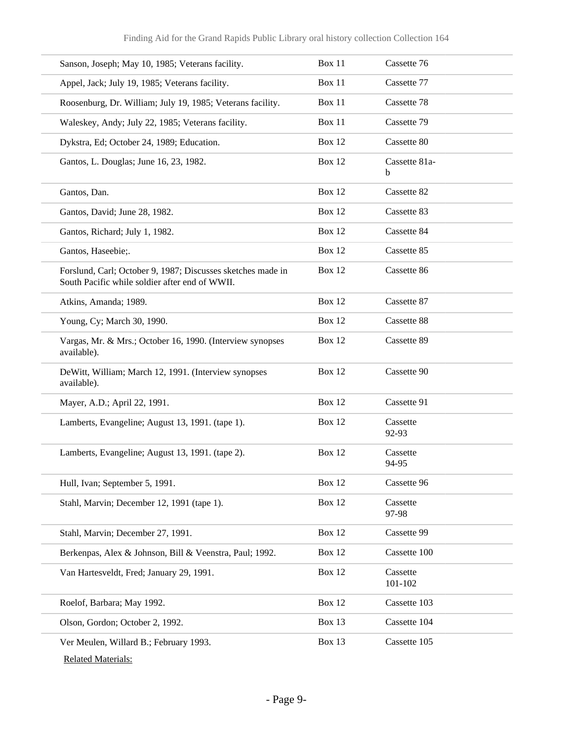| Sanson, Joseph; May 10, 1985; Veterans facility.                                                              | <b>Box 11</b> | Cassette 76         |
|---------------------------------------------------------------------------------------------------------------|---------------|---------------------|
| Appel, Jack; July 19, 1985; Veterans facility.                                                                | Box 11        | Cassette 77         |
| Roosenburg, Dr. William; July 19, 1985; Veterans facility.                                                    | Box 11        | Cassette 78         |
| Waleskey, Andy; July 22, 1985; Veterans facility.                                                             | Box 11        | Cassette 79         |
| Dykstra, Ed; October 24, 1989; Education.                                                                     | <b>Box 12</b> | Cassette 80         |
| Gantos, L. Douglas; June 16, 23, 1982.                                                                        | <b>Box 12</b> | Cassette 81a-<br>b  |
| Gantos, Dan.                                                                                                  | <b>Box 12</b> | Cassette 82         |
| Gantos, David; June 28, 1982.                                                                                 | <b>Box 12</b> | Cassette 83         |
| Gantos, Richard; July 1, 1982.                                                                                | <b>Box 12</b> | Cassette 84         |
| Gantos, Haseebie;.                                                                                            | <b>Box 12</b> | Cassette 85         |
| Forslund, Carl; October 9, 1987; Discusses sketches made in<br>South Pacific while soldier after end of WWII. | <b>Box 12</b> | Cassette 86         |
| Atkins, Amanda; 1989.                                                                                         | <b>Box 12</b> | Cassette 87         |
| Young, Cy; March 30, 1990.                                                                                    | <b>Box 12</b> | Cassette 88         |
| Vargas, Mr. & Mrs.; October 16, 1990. (Interview synopses<br>available).                                      | <b>Box 12</b> | Cassette 89         |
| DeWitt, William; March 12, 1991. (Interview synopses<br>available).                                           | <b>Box 12</b> | Cassette 90         |
| Mayer, A.D.; April 22, 1991.                                                                                  | <b>Box 12</b> | Cassette 91         |
| Lamberts, Evangeline; August 13, 1991. (tape 1).                                                              | <b>Box 12</b> | Cassette<br>92-93   |
| Lamberts, Evangeline; August 13, 1991. (tape 2).                                                              | <b>Box 12</b> | Cassette<br>94-95   |
| Hull, Ivan; September 5, 1991.                                                                                | <b>Box 12</b> | Cassette 96         |
| Stahl, Marvin; December 12, 1991 (tape 1).                                                                    | <b>Box 12</b> | Cassette<br>97-98   |
| Stahl, Marvin; December 27, 1991.                                                                             | <b>Box 12</b> | Cassette 99         |
| Berkenpas, Alex & Johnson, Bill & Veenstra, Paul; 1992.                                                       | <b>Box 12</b> | Cassette 100        |
| Van Hartesveldt, Fred; January 29, 1991.                                                                      | <b>Box 12</b> | Cassette<br>101-102 |
| Roelof, Barbara; May 1992.                                                                                    | <b>Box 12</b> | Cassette 103        |
| Olson, Gordon; October 2, 1992.                                                                               | Box 13        | Cassette 104        |
| Ver Meulen, Willard B.; February 1993.<br><b>Related Materials:</b>                                           | <b>Box 13</b> | Cassette 105        |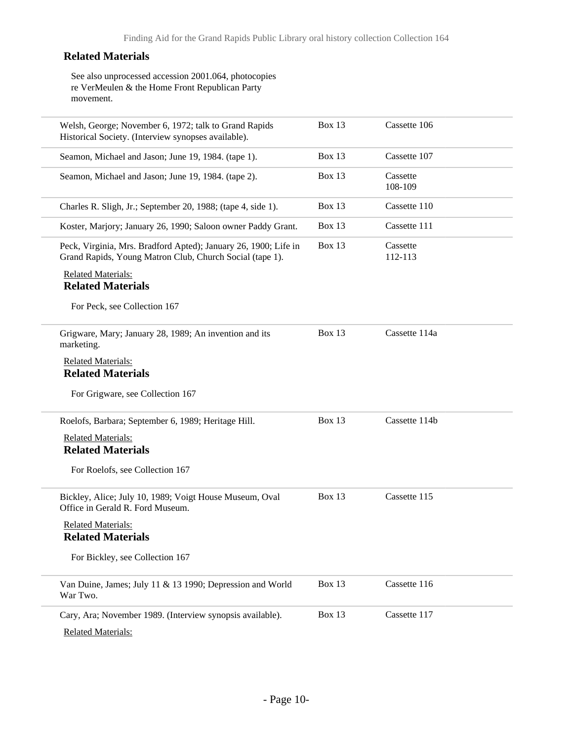#### **Related Materials**

See also unprocessed accession 2001.064, photocopies re VerMeulen & the Home Front Republican Party movement.

| Welsh, George; November 6, 1972; talk to Grand Rapids<br>Historical Society. (Interview synopses available).                | Box 13        | Cassette 106        |  |
|-----------------------------------------------------------------------------------------------------------------------------|---------------|---------------------|--|
| Seamon, Michael and Jason; June 19, 1984. (tape 1).                                                                         | Box 13        | Cassette 107        |  |
| Seamon, Michael and Jason; June 19, 1984. (tape 2).                                                                         | Box 13        | Cassette<br>108-109 |  |
| Charles R. Sligh, Jr.; September 20, 1988; (tape 4, side 1).                                                                | Box 13        | Cassette 110        |  |
| Koster, Marjory; January 26, 1990; Saloon owner Paddy Grant.                                                                | <b>Box 13</b> | Cassette 111        |  |
| Peck, Virginia, Mrs. Bradford Apted); January 26, 1900; Life in<br>Grand Rapids, Young Matron Club, Church Social (tape 1). | Box 13        | Cassette<br>112-113 |  |
| <b>Related Materials:</b><br><b>Related Materials</b>                                                                       |               |                     |  |
| For Peck, see Collection 167                                                                                                |               |                     |  |
| Grigware, Mary; January 28, 1989; An invention and its<br>marketing.                                                        | <b>Box 13</b> | Cassette 114a       |  |
| <b>Related Materials:</b><br><b>Related Materials</b>                                                                       |               |                     |  |
| For Grigware, see Collection 167                                                                                            |               |                     |  |
| Roelofs, Barbara; September 6, 1989; Heritage Hill.                                                                         | Box 13        | Cassette 114b       |  |
| <b>Related Materials:</b>                                                                                                   |               |                     |  |
| <b>Related Materials</b>                                                                                                    |               |                     |  |
| For Roelofs, see Collection 167                                                                                             |               |                     |  |
| Bickley, Alice; July 10, 1989; Voigt House Museum, Oval<br>Office in Gerald R. Ford Museum.                                 | Box 13        | Cassette 115        |  |
| <b>Related Materials:</b><br><b>Related Materials</b>                                                                       |               |                     |  |
| For Bickley, see Collection 167                                                                                             |               |                     |  |
| Van Duine, James; July 11 & 13 1990; Depression and World<br>War Two.                                                       | Box 13        | Cassette 116        |  |
| Cary, Ara; November 1989. (Interview synopsis available).                                                                   | Box 13        | Cassette 117        |  |
| <b>Related Materials:</b>                                                                                                   |               |                     |  |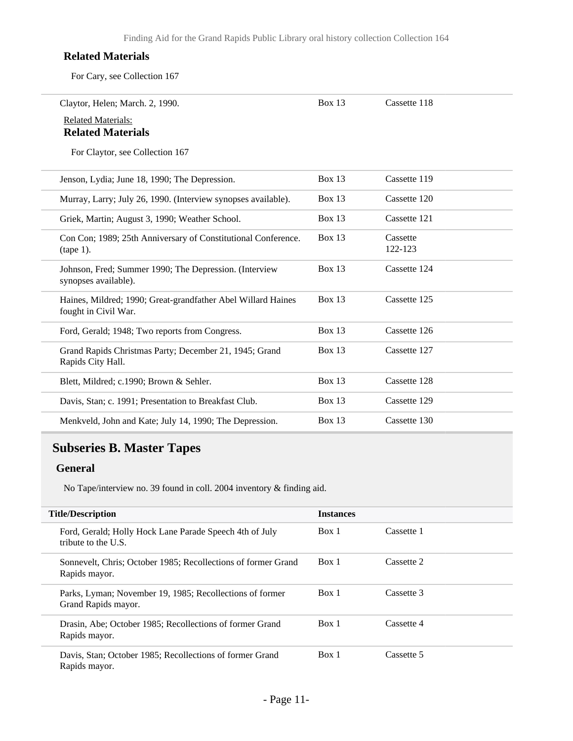#### **Related Materials**

For Cary, see Collection 167

| <b>Related Materials:</b><br><b>Related Materials</b><br>For Claytor, see Collection 167<br><b>Box 13</b><br>Cassette 119<br>Jenson, Lydia; June 18, 1990; The Depression.<br>Box $13$<br>Cassette 120<br>Murray, Larry; July 26, 1990. (Interview synopses available).<br>Box $13$<br>Cassette 121<br>Griek, Martin; August 3, 1990; Weather School.<br>Box $13$<br>Cassette<br>Con Con; 1989; 25th Anniversary of Constitutional Conference.<br>122-123<br>$(tape 1)$ .<br><b>Box 13</b><br>Cassette 124<br>Johnson, Fred; Summer 1990; The Depression. (Interview<br>synopses available).<br><b>Box 13</b><br>Cassette 125<br>Haines, Mildred; 1990; Great-grandfather Abel Willard Haines<br>fought in Civil War.<br>Box 13<br>Cassette 126<br>Ford, Gerald; 1948; Two reports from Congress.<br><b>Box 13</b><br>Cassette 127<br>Grand Rapids Christmas Party; December 21, 1945; Grand<br>Rapids City Hall.<br>Cassette 128<br>Box $13$<br>Blett, Mildred; c.1990; Brown & Sehler.<br>Box $13$<br>Cassette 129<br>Davis, Stan; c. 1991; Presentation to Breakfast Club.<br>Box 13<br>Cassette 130<br>Menkveld, John and Kate; July 14, 1990; The Depression. | Claytor, Helen; March. 2, 1990. | Box $13$ | Cassette 118 |
|--------------------------------------------------------------------------------------------------------------------------------------------------------------------------------------------------------------------------------------------------------------------------------------------------------------------------------------------------------------------------------------------------------------------------------------------------------------------------------------------------------------------------------------------------------------------------------------------------------------------------------------------------------------------------------------------------------------------------------------------------------------------------------------------------------------------------------------------------------------------------------------------------------------------------------------------------------------------------------------------------------------------------------------------------------------------------------------------------------------------------------------------------------------------|---------------------------------|----------|--------------|
|                                                                                                                                                                                                                                                                                                                                                                                                                                                                                                                                                                                                                                                                                                                                                                                                                                                                                                                                                                                                                                                                                                                                                                    |                                 |          |              |
|                                                                                                                                                                                                                                                                                                                                                                                                                                                                                                                                                                                                                                                                                                                                                                                                                                                                                                                                                                                                                                                                                                                                                                    |                                 |          |              |
|                                                                                                                                                                                                                                                                                                                                                                                                                                                                                                                                                                                                                                                                                                                                                                                                                                                                                                                                                                                                                                                                                                                                                                    |                                 |          |              |
|                                                                                                                                                                                                                                                                                                                                                                                                                                                                                                                                                                                                                                                                                                                                                                                                                                                                                                                                                                                                                                                                                                                                                                    |                                 |          |              |
|                                                                                                                                                                                                                                                                                                                                                                                                                                                                                                                                                                                                                                                                                                                                                                                                                                                                                                                                                                                                                                                                                                                                                                    |                                 |          |              |
|                                                                                                                                                                                                                                                                                                                                                                                                                                                                                                                                                                                                                                                                                                                                                                                                                                                                                                                                                                                                                                                                                                                                                                    |                                 |          |              |
|                                                                                                                                                                                                                                                                                                                                                                                                                                                                                                                                                                                                                                                                                                                                                                                                                                                                                                                                                                                                                                                                                                                                                                    |                                 |          |              |
|                                                                                                                                                                                                                                                                                                                                                                                                                                                                                                                                                                                                                                                                                                                                                                                                                                                                                                                                                                                                                                                                                                                                                                    |                                 |          |              |
|                                                                                                                                                                                                                                                                                                                                                                                                                                                                                                                                                                                                                                                                                                                                                                                                                                                                                                                                                                                                                                                                                                                                                                    |                                 |          |              |
|                                                                                                                                                                                                                                                                                                                                                                                                                                                                                                                                                                                                                                                                                                                                                                                                                                                                                                                                                                                                                                                                                                                                                                    |                                 |          |              |
|                                                                                                                                                                                                                                                                                                                                                                                                                                                                                                                                                                                                                                                                                                                                                                                                                                                                                                                                                                                                                                                                                                                                                                    |                                 |          |              |
|                                                                                                                                                                                                                                                                                                                                                                                                                                                                                                                                                                                                                                                                                                                                                                                                                                                                                                                                                                                                                                                                                                                                                                    |                                 |          |              |
|                                                                                                                                                                                                                                                                                                                                                                                                                                                                                                                                                                                                                                                                                                                                                                                                                                                                                                                                                                                                                                                                                                                                                                    |                                 |          |              |

### <span id="page-10-0"></span>**Subseries B. Master Tapes**

#### **General**

No Tape/interview no. 39 found in coll. 2004 inventory & finding aid.

| <b>Title/Description</b>                                                        | <b>Instances</b> |            |
|---------------------------------------------------------------------------------|------------------|------------|
| Ford, Gerald; Holly Hock Lane Parade Speech 4th of July<br>tribute to the U.S.  | Box 1            | Cassette 1 |
| Sonnevelt, Chris; October 1985; Recollections of former Grand<br>Rapids mayor.  | Box 1            | Cassette 2 |
| Parks, Lyman; November 19, 1985; Recollections of former<br>Grand Rapids mayor. | Box 1            | Cassette 3 |
| Drasin, Abe; October 1985; Recollections of former Grand<br>Rapids mayor.       | Box 1            | Cassette 4 |
| Davis, Stan; October 1985; Recollections of former Grand<br>Rapids mayor.       | Box 1            | Cassette 5 |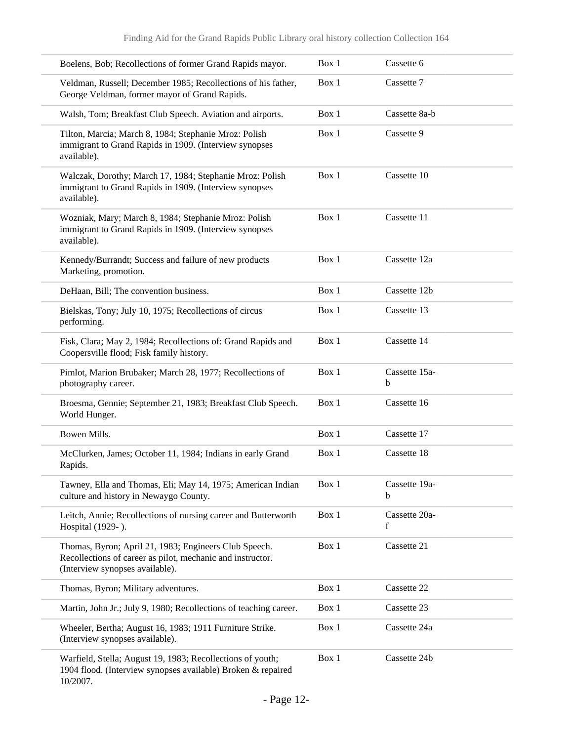| Boelens, Bob; Recollections of former Grand Rapids mayor.                                                                                              | Box 1 | Cassette 6         |
|--------------------------------------------------------------------------------------------------------------------------------------------------------|-------|--------------------|
| Veldman, Russell; December 1985; Recollections of his father,<br>George Veldman, former mayor of Grand Rapids.                                         | Box 1 | Cassette 7         |
| Walsh, Tom; Breakfast Club Speech. Aviation and airports.                                                                                              | Box 1 | Cassette 8a-b      |
| Tilton, Marcia; March 8, 1984; Stephanie Mroz: Polish<br>immigrant to Grand Rapids in 1909. (Interview synopses<br>available).                         | Box 1 | Cassette 9         |
| Walczak, Dorothy; March 17, 1984; Stephanie Mroz: Polish<br>immigrant to Grand Rapids in 1909. (Interview synopses<br>available).                      | Box 1 | Cassette 10        |
| Wozniak, Mary; March 8, 1984; Stephanie Mroz: Polish<br>immigrant to Grand Rapids in 1909. (Interview synopses<br>available).                          | Box 1 | Cassette 11        |
| Kennedy/Burrandt; Success and failure of new products<br>Marketing, promotion.                                                                         | Box 1 | Cassette 12a       |
| DeHaan, Bill; The convention business.                                                                                                                 | Box 1 | Cassette 12b       |
| Bielskas, Tony; July 10, 1975; Recollections of circus<br>performing.                                                                                  | Box 1 | Cassette 13        |
| Fisk, Clara; May 2, 1984; Recollections of: Grand Rapids and<br>Coopersville flood; Fisk family history.                                               | Box 1 | Cassette 14        |
| Pimlot, Marion Brubaker; March 28, 1977; Recollections of<br>photography career.                                                                       | Box 1 | Cassette 15a-<br>b |
| Broesma, Gennie; September 21, 1983; Breakfast Club Speech.<br>World Hunger.                                                                           | Box 1 | Cassette 16        |
| Bowen Mills.                                                                                                                                           | Box 1 | Cassette 17        |
| McClurken, James; October 11, 1984; Indians in early Grand<br>Rapids.                                                                                  | Box 1 | Cassette 18        |
| Tawney, Ella and Thomas, Eli; May 14, 1975; American Indian<br>culture and history in Newaygo County.                                                  | Box 1 | Cassette 19a-<br>b |
| Leitch, Annie; Recollections of nursing career and Butterworth<br>Hospital (1929-).                                                                    | Box 1 | Cassette 20a-<br>f |
| Thomas, Byron; April 21, 1983; Engineers Club Speech.<br>Recollections of career as pilot, mechanic and instructor.<br>(Interview synopses available). | Box 1 | Cassette 21        |
| Thomas, Byron; Military adventures.                                                                                                                    | Box 1 | Cassette 22        |
| Martin, John Jr.; July 9, 1980; Recollections of teaching career.                                                                                      | Box 1 | Cassette 23        |
| Wheeler, Bertha; August 16, 1983; 1911 Furniture Strike.<br>(Interview synopses available).                                                            | Box 1 | Cassette 24a       |
| Warfield, Stella; August 19, 1983; Recollections of youth;<br>1904 flood. (Interview synopses available) Broken & repaired<br>10/2007.                 | Box 1 | Cassette 24b       |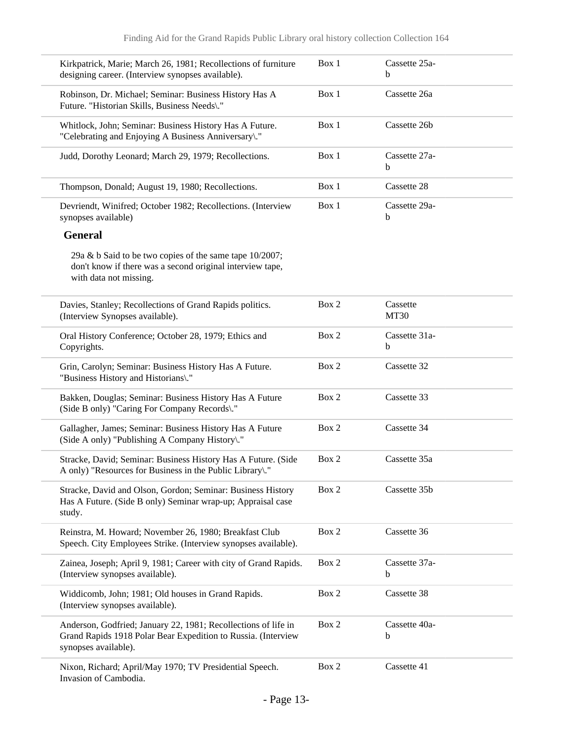| Kirkpatrick, Marie; March 26, 1981; Recollections of furniture<br>designing career. (Interview synopses available).                                     | Box 1 | Cassette 25a-<br>b      |  |
|---------------------------------------------------------------------------------------------------------------------------------------------------------|-------|-------------------------|--|
| Robinson, Dr. Michael; Seminar: Business History Has A<br>Future. "Historian Skills, Business Needs\."                                                  | Box 1 | Cassette 26a            |  |
| Whitlock, John; Seminar: Business History Has A Future.<br>"Celebrating and Enjoying A Business Anniversary\."                                          | Box 1 | Cassette 26b            |  |
| Judd, Dorothy Leonard; March 29, 1979; Recollections.                                                                                                   | Box 1 | Cassette 27a-<br>b      |  |
| Thompson, Donald; August 19, 1980; Recollections.                                                                                                       | Box 1 | Cassette 28             |  |
| Devriendt, Winifred; October 1982; Recollections. (Interview<br>synopses available)                                                                     | Box 1 | Cassette 29a-<br>b      |  |
| <b>General</b>                                                                                                                                          |       |                         |  |
| 29a & b Said to be two copies of the same tape 10/2007;<br>don't know if there was a second original interview tape,<br>with data not missing.          |       |                         |  |
| Davies, Stanley; Recollections of Grand Rapids politics.<br>(Interview Synopses available).                                                             | Box 2 | Cassette<br><b>MT30</b> |  |
| Oral History Conference; October 28, 1979; Ethics and<br>Copyrights.                                                                                    | Box 2 | Cassette 31a-<br>b      |  |
| Grin, Carolyn; Seminar: Business History Has A Future.<br>"Business History and Historians\."                                                           | Box 2 | Cassette 32             |  |
| Bakken, Douglas; Seminar: Business History Has A Future<br>(Side B only) "Caring For Company Records\."                                                 | Box 2 | Cassette 33             |  |
| Gallagher, James; Seminar: Business History Has A Future<br>(Side A only) "Publishing A Company History)."                                              | Box 2 | Cassette 34             |  |
| Stracke, David; Seminar: Business History Has A Future. (Side<br>A only) "Resources for Business in the Public Library."                                | Box 2 | Cassette 35a            |  |
| Stracke, David and Olson, Gordon; Seminar: Business History<br>Has A Future. (Side B only) Seminar wrap-up; Appraisal case<br>study.                    | Box 2 | Cassette 35b            |  |
| Reinstra, M. Howard; November 26, 1980; Breakfast Club<br>Speech. City Employees Strike. (Interview synopses available).                                | Box 2 | Cassette 36             |  |
| Zainea, Joseph; April 9, 1981; Career with city of Grand Rapids.<br>(Interview synopses available).                                                     | Box 2 | Cassette 37a-<br>b      |  |
| Widdicomb, John; 1981; Old houses in Grand Rapids.<br>(Interview synopses available).                                                                   | Box 2 | Cassette 38             |  |
| Anderson, Godfried; January 22, 1981; Recollections of life in<br>Grand Rapids 1918 Polar Bear Expedition to Russia. (Interview<br>synopses available). | Box 2 | Cassette 40a-<br>b      |  |
| Nixon, Richard; April/May 1970; TV Presidential Speech.<br>Invasion of Cambodia.                                                                        | Box 2 | Cassette 41             |  |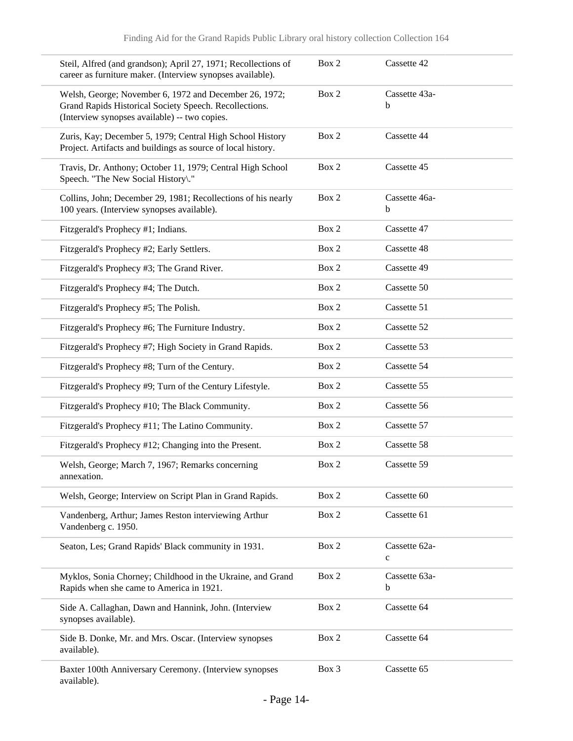| Steil, Alfred (and grandson); April 27, 1971; Recollections of<br>career as furniture maker. (Interview synopses available).                                      | Box 2 | Cassette 42                  |
|-------------------------------------------------------------------------------------------------------------------------------------------------------------------|-------|------------------------------|
| Welsh, George; November 6, 1972 and December 26, 1972;<br>Grand Rapids Historical Society Speech. Recollections.<br>(Interview synopses available) -- two copies. | Box 2 | Cassette 43a-<br>b           |
| Zuris, Kay; December 5, 1979; Central High School History<br>Project. Artifacts and buildings as source of local history.                                         | Box 2 | Cassette 44                  |
| Travis, Dr. Anthony; October 11, 1979; Central High School<br>Speech. "The New Social History\."                                                                  | Box 2 | Cassette 45                  |
| Collins, John; December 29, 1981; Recollections of his nearly<br>100 years. (Interview synopses available).                                                       | Box 2 | Cassette 46a-<br>b           |
| Fitzgerald's Prophecy #1; Indians.                                                                                                                                | Box 2 | Cassette 47                  |
| Fitzgerald's Prophecy #2; Early Settlers.                                                                                                                         | Box 2 | Cassette 48                  |
| Fitzgerald's Prophecy #3; The Grand River.                                                                                                                        | Box 2 | Cassette 49                  |
| Fitzgerald's Prophecy #4; The Dutch.                                                                                                                              | Box 2 | Cassette 50                  |
| Fitzgerald's Prophecy #5; The Polish.                                                                                                                             | Box 2 | Cassette 51                  |
| Fitzgerald's Prophecy #6; The Furniture Industry.                                                                                                                 | Box 2 | Cassette 52                  |
| Fitzgerald's Prophecy #7; High Society in Grand Rapids.                                                                                                           | Box 2 | Cassette 53                  |
| Fitzgerald's Prophecy #8; Turn of the Century.                                                                                                                    | Box 2 | Cassette 54                  |
| Fitzgerald's Prophecy #9; Turn of the Century Lifestyle.                                                                                                          | Box 2 | Cassette 55                  |
| Fitzgerald's Prophecy #10; The Black Community.                                                                                                                   | Box 2 | Cassette 56                  |
| Fitzgerald's Prophecy #11; The Latino Community.                                                                                                                  | Box 2 | Cassette 57                  |
| Fitzgerald's Prophecy #12; Changing into the Present.                                                                                                             | Box 2 | Cassette 58                  |
| Welsh, George; March 7, 1967; Remarks concerning<br>annexation.                                                                                                   | Box 2 | Cassette 59                  |
| Welsh, George; Interview on Script Plan in Grand Rapids.                                                                                                          | Box 2 | Cassette 60                  |
| Vandenberg, Arthur; James Reston interviewing Arthur<br>Vandenberg c. 1950.                                                                                       | Box 2 | Cassette 61                  |
| Seaton, Les; Grand Rapids' Black community in 1931.                                                                                                               | Box 2 | Cassette 62a-<br>$\mathbf c$ |
| Myklos, Sonia Chorney; Childhood in the Ukraine, and Grand<br>Rapids when she came to America in 1921.                                                            | Box 2 | Cassette 63a-<br>b           |
| Side A. Callaghan, Dawn and Hannink, John. (Interview<br>synopses available).                                                                                     | Box 2 | Cassette 64                  |
| Side B. Donke, Mr. and Mrs. Oscar. (Interview synopses<br>available).                                                                                             | Box 2 | Cassette 64                  |
| Baxter 100th Anniversary Ceremony. (Interview synopses<br>available).                                                                                             | Box 3 | Cassette 65                  |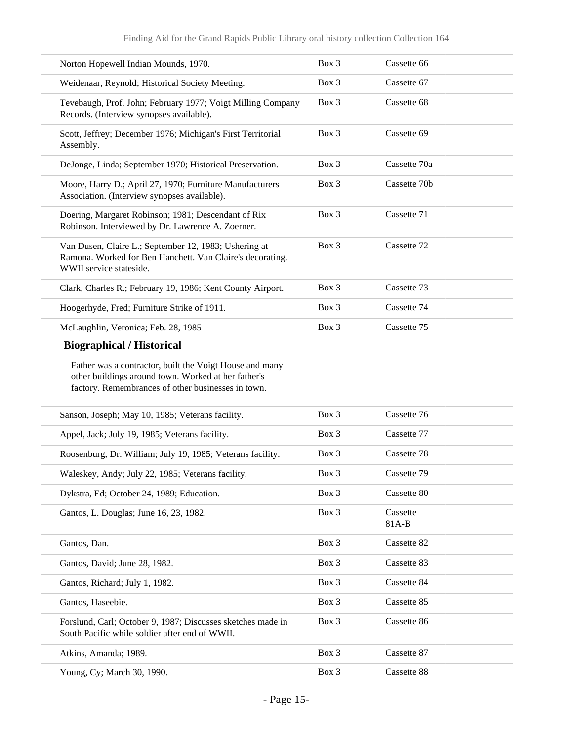| Norton Hopewell Indian Mounds, 1970.                                                                                                                                 | Box 3   | Cassette 66       |
|----------------------------------------------------------------------------------------------------------------------------------------------------------------------|---------|-------------------|
| Weidenaar, Reynold; Historical Society Meeting.                                                                                                                      | Box 3   | Cassette 67       |
| Tevebaugh, Prof. John; February 1977; Voigt Milling Company<br>Records. (Interview synopses available).                                                              | Box 3   | Cassette 68       |
| Scott, Jeffrey; December 1976; Michigan's First Territorial<br>Assembly.                                                                                             | Box 3   | Cassette 69       |
| DeJonge, Linda; September 1970; Historical Preservation.                                                                                                             | $Box$ 3 | Cassette 70a      |
| Moore, Harry D.; April 27, 1970; Furniture Manufacturers<br>Association. (Interview synopses available).                                                             | Box 3   | Cassette 70b      |
| Doering, Margaret Robinson; 1981; Descendant of Rix<br>Robinson. Interviewed by Dr. Lawrence A. Zoerner.                                                             | Box 3   | Cassette 71       |
| Van Dusen, Claire L.; September 12, 1983; Ushering at<br>Ramona. Worked for Ben Hanchett. Van Claire's decorating.<br>WWII service stateside.                        | Box 3   | Cassette 72       |
| Clark, Charles R.; February 19, 1986; Kent County Airport.                                                                                                           | Box 3   | Cassette 73       |
| Hoogerhyde, Fred; Furniture Strike of 1911.                                                                                                                          | Box 3   | Cassette 74       |
| McLaughlin, Veronica; Feb. 28, 1985                                                                                                                                  | Box 3   | Cassette 75       |
| <b>Biographical / Historical</b>                                                                                                                                     |         |                   |
| Father was a contractor, built the Voigt House and many<br>other buildings around town. Worked at her father's<br>factory. Remembrances of other businesses in town. |         |                   |
| Sanson, Joseph; May 10, 1985; Veterans facility.                                                                                                                     | Box 3   | Cassette 76       |
| Appel, Jack; July 19, 1985; Veterans facility.                                                                                                                       | Box 3   | Cassette 77       |
| Roosenburg, Dr. William; July 19, 1985; Veterans facility.                                                                                                           | Box 3   | Cassette 78       |
| Waleskey, Andy; July 22, 1985; Veterans facility.                                                                                                                    | Box 3   | Cassette 79       |
| Dykstra, Ed; October 24, 1989; Education.                                                                                                                            | Box 3   | Cassette 80       |
| Gantos, L. Douglas; June 16, 23, 1982.                                                                                                                               | Box 3   | Cassette<br>81A-B |
| Gantos, Dan.                                                                                                                                                         | Box 3   | Cassette 82       |
| Gantos, David; June 28, 1982.                                                                                                                                        | Box 3   | Cassette 83       |
| Gantos, Richard; July 1, 1982.                                                                                                                                       | Box 3   | Cassette 84       |
| Gantos, Haseebie.                                                                                                                                                    | Box 3   | Cassette 85       |
| Forslund, Carl; October 9, 1987; Discusses sketches made in<br>South Pacific while soldier after end of WWII.                                                        | Box 3   | Cassette 86       |
| Atkins, Amanda; 1989.                                                                                                                                                | Box 3   | Cassette 87       |
| Young, Cy; March 30, 1990.                                                                                                                                           | Box 3   | Cassette 88       |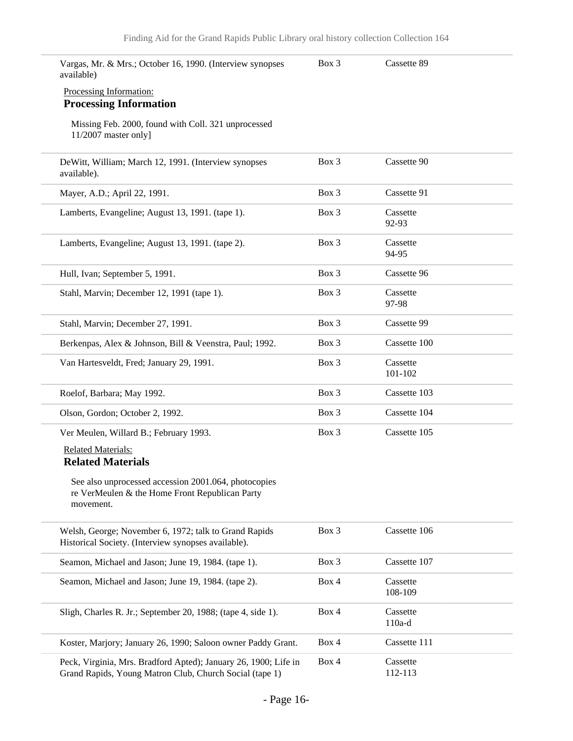| Vargas, Mr. & Mrs.; October 16, 1990. (Interview synopses<br>available)                                                    | Box 3 | Cassette 89          |
|----------------------------------------------------------------------------------------------------------------------------|-------|----------------------|
| Processing Information:<br><b>Processing Information</b>                                                                   |       |                      |
| Missing Feb. 2000, found with Coll. 321 unprocessed<br>11/2007 master only]                                                |       |                      |
| DeWitt, William; March 12, 1991. (Interview synopses<br>available).                                                        | Box 3 | Cassette 90          |
| Mayer, A.D.; April 22, 1991.                                                                                               | Box 3 | Cassette 91          |
| Lamberts, Evangeline; August 13, 1991. (tape 1).                                                                           | Box 3 | Cassette<br>92-93    |
| Lamberts, Evangeline; August 13, 1991. (tape 2).                                                                           | Box 3 | Cassette<br>94-95    |
| Hull, Ivan; September 5, 1991.                                                                                             | Box 3 | Cassette 96          |
| Stahl, Marvin; December 12, 1991 (tape 1).                                                                                 | Box 3 | Cassette<br>97-98    |
| Stahl, Marvin; December 27, 1991.                                                                                          | Box 3 | Cassette 99          |
| Berkenpas, Alex & Johnson, Bill & Veenstra, Paul; 1992.                                                                    | Box 3 | Cassette 100         |
| Van Hartesveldt, Fred; January 29, 1991.                                                                                   | Box 3 | Cassette<br>101-102  |
| Roelof, Barbara; May 1992.                                                                                                 | Box 3 | Cassette 103         |
| Olson, Gordon; October 2, 1992.                                                                                            | Box 3 | Cassette 104         |
| Ver Meulen, Willard B.; February 1993.                                                                                     | Box 3 | Cassette 105         |
| <b>Related Materials:</b><br><b>Related Materials</b>                                                                      |       |                      |
| See also unprocessed accession 2001.064, photocopies<br>re VerMeulen & the Home Front Republican Party<br>movement.        |       |                      |
| Welsh, George; November 6, 1972; talk to Grand Rapids<br>Historical Society. (Interview synopses available).               | Box 3 | Cassette 106         |
| Seamon, Michael and Jason; June 19, 1984. (tape 1).                                                                        | Box 3 | Cassette 107         |
| Seamon, Michael and Jason; June 19, 1984. (tape 2).                                                                        | Box 4 | Cassette<br>108-109  |
| Sligh, Charles R. Jr.; September 20, 1988; (tape 4, side 1).                                                               | Box 4 | Cassette<br>$110a-d$ |
| Koster, Marjory; January 26, 1990; Saloon owner Paddy Grant.                                                               | Box 4 | Cassette 111         |
| Peck, Virginia, Mrs. Bradford Apted); January 26, 1900; Life in<br>Grand Rapids, Young Matron Club, Church Social (tape 1) | Box 4 | Cassette<br>112-113  |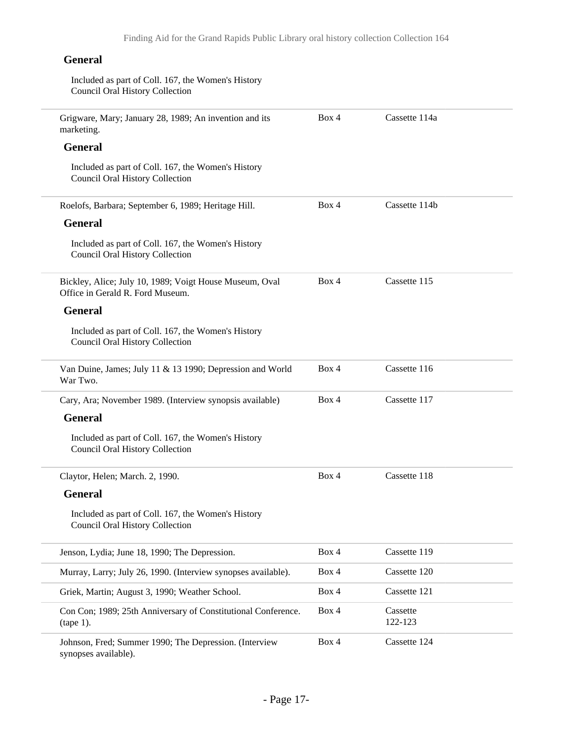### **General**

| Included as part of Coll. 167, the Women's History<br><b>Council Oral History Collection</b> |       |                     |
|----------------------------------------------------------------------------------------------|-------|---------------------|
| Grigware, Mary; January 28, 1989; An invention and its<br>marketing.                         | Box 4 | Cassette 114a       |
| <b>General</b>                                                                               |       |                     |
| Included as part of Coll. 167, the Women's History<br><b>Council Oral History Collection</b> |       |                     |
| Roelofs, Barbara; September 6, 1989; Heritage Hill.                                          | Box 4 | Cassette 114b       |
| <b>General</b>                                                                               |       |                     |
| Included as part of Coll. 167, the Women's History<br><b>Council Oral History Collection</b> |       |                     |
| Bickley, Alice; July 10, 1989; Voigt House Museum, Oval<br>Office in Gerald R. Ford Museum.  | Box 4 | Cassette 115        |
| <b>General</b>                                                                               |       |                     |
| Included as part of Coll. 167, the Women's History<br><b>Council Oral History Collection</b> |       |                     |
| Van Duine, James; July 11 & 13 1990; Depression and World<br>War Two.                        | Box 4 | Cassette 116        |
| Cary, Ara; November 1989. (Interview synopsis available)                                     | Box 4 | Cassette 117        |
| <b>General</b>                                                                               |       |                     |
| Included as part of Coll. 167, the Women's History<br>Council Oral History Collection        |       |                     |
| Claytor, Helen; March. 2, 1990.                                                              | Box 4 | Cassette 118        |
| General                                                                                      |       |                     |
| Included as part of Coll. 167, the Women's History<br><b>Council Oral History Collection</b> |       |                     |
| Jenson, Lydia; June 18, 1990; The Depression.                                                | Box 4 | Cassette 119        |
| Murray, Larry; July 26, 1990. (Interview synopses available).                                | Box 4 | Cassette 120        |
| Griek, Martin; August 3, 1990; Weather School.                                               | Box 4 | Cassette 121        |
| Con Con; 1989; 25th Anniversary of Constitutional Conference.<br>$(tape 1)$ .                | Box 4 | Cassette<br>122-123 |
| Johnson, Fred; Summer 1990; The Depression. (Interview<br>synopses available).               | Box 4 | Cassette 124        |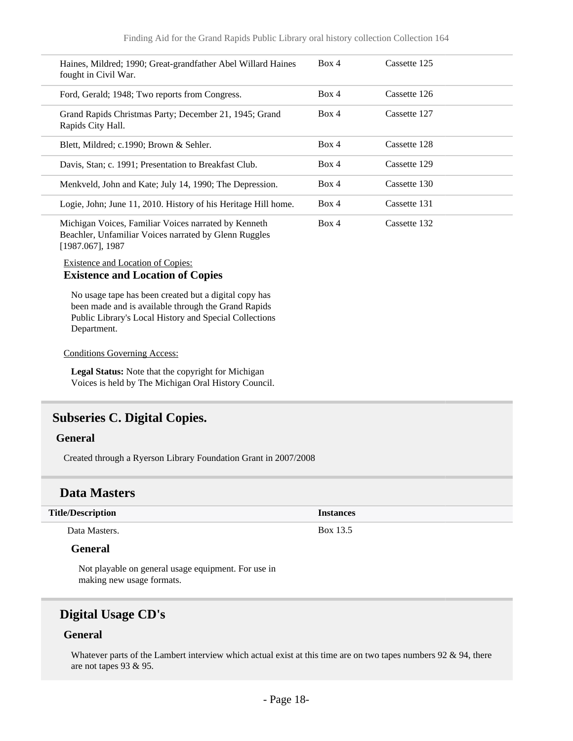| Haines, Mildred; 1990; Great-grandfather Abel Willard Haines<br>fought in Civil War.                                 | Box 4 | Cassette 125 |
|----------------------------------------------------------------------------------------------------------------------|-------|--------------|
| Ford, Gerald; 1948; Two reports from Congress.                                                                       | Box 4 | Cassette 126 |
| Grand Rapids Christmas Party; December 21, 1945; Grand<br>Rapids City Hall.                                          | Box 4 | Cassette 127 |
| Blett, Mildred; c.1990; Brown & Sehler.                                                                              | Box 4 | Cassette 128 |
| Davis, Stan; c. 1991; Presentation to Breakfast Club.                                                                | Box 4 | Cassette 129 |
| Menkveld, John and Kate; July 14, 1990; The Depression.                                                              | Box 4 | Cassette 130 |
| Logie, John; June 11, 2010. History of his Heritage Hill home.                                                       | Box 4 | Cassette 131 |
| Michigan Voices, Familiar Voices narrated by Kenneth<br><b>Deaphler, Unfamiliar Voices normated by Glann Duggles</b> | Box 4 | Cassette 132 |

Beachler, Unfamiliar Voices narrated by Glenn Ruggles [1987.067], 1987

#### Existence and Location of Copies: **Existence and Location of Copies**

No usage tape has been created but a digital copy has been made and is available through the Grand Rapids Public Library's Local History and Special Collections Department.

#### Conditions Governing Access:

**Legal Status:** Note that the copyright for Michigan Voices is held by The Michigan Oral History Council.

### <span id="page-17-0"></span>**Subseries C. Digital Copies.**

#### **General**

Created through a Ryerson Library Foundation Grant in 2007/2008

### **Data Masters**

#### **Title/Description Instances** Data Masters. Box 13.5

### **General**

Not playable on general usage equipment. For use in making new usage formats.

### **Digital Usage CD's**

#### **General**

Whatever parts of the Lambert interview which actual exist at this time are on two tapes numbers  $92 \& 94$ , there are not tapes 93 & 95.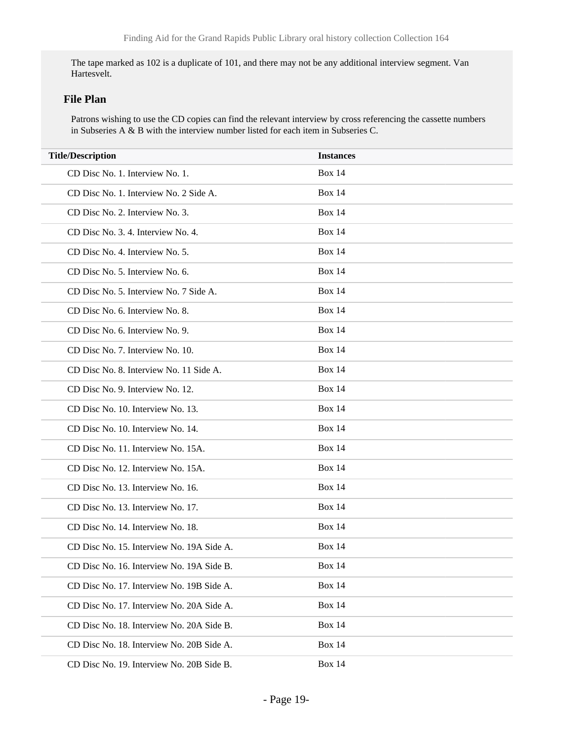The tape marked as 102 is a duplicate of 101, and there may not be any additional interview segment. Van Hartesvelt.

#### **File Plan**

Patrons wishing to use the CD copies can find the relevant interview by cross referencing the cassette numbers in Subseries A & B with the interview number listed for each item in Subseries C.

| <b>Title/Description</b>                  | <b>Instances</b> |
|-------------------------------------------|------------------|
| CD Disc No. 1. Interview No. 1.           | <b>Box 14</b>    |
| CD Disc No. 1. Interview No. 2 Side A.    | <b>Box 14</b>    |
| CD Disc No. 2. Interview No. 3.           | <b>Box 14</b>    |
| CD Disc No. 3. 4. Interview No. 4.        | <b>Box 14</b>    |
| CD Disc No. 4. Interview No. 5.           | <b>Box 14</b>    |
| CD Disc No. 5. Interview No. 6.           | <b>Box 14</b>    |
| CD Disc No. 5. Interview No. 7 Side A.    | <b>Box 14</b>    |
| CD Disc No. 6. Interview No. 8.           | <b>Box 14</b>    |
| CD Disc No. 6. Interview No. 9.           | <b>Box 14</b>    |
| CD Disc No. 7. Interview No. 10.          | <b>Box 14</b>    |
| CD Disc No. 8. Interview No. 11 Side A.   | <b>Box 14</b>    |
| CD Disc No. 9. Interview No. 12.          | <b>Box 14</b>    |
| CD Disc No. 10. Interview No. 13.         | <b>Box 14</b>    |
| CD Disc No. 10. Interview No. 14.         | <b>Box 14</b>    |
| CD Disc No. 11. Interview No. 15A.        | <b>Box 14</b>    |
| CD Disc No. 12. Interview No. 15A.        | <b>Box 14</b>    |
| CD Disc No. 13. Interview No. 16.         | <b>Box 14</b>    |
| CD Disc No. 13. Interview No. 17.         | <b>Box 14</b>    |
| CD Disc No. 14. Interview No. 18.         | <b>Box 14</b>    |
| CD Disc No. 15. Interview No. 19A Side A. | <b>Box 14</b>    |
| CD Disc No. 16. Interview No. 19A Side B  | <b>Box 14</b>    |
| CD Disc No. 17. Interview No. 19B Side A. | <b>Box 14</b>    |
| CD Disc No. 17. Interview No. 20A Side A. | <b>Box 14</b>    |
| CD Disc No. 18. Interview No. 20A Side B. | <b>Box 14</b>    |
| CD Disc No. 18. Interview No. 20B Side A. | <b>Box 14</b>    |
| CD Disc No. 19. Interview No. 20B Side B. | <b>Box 14</b>    |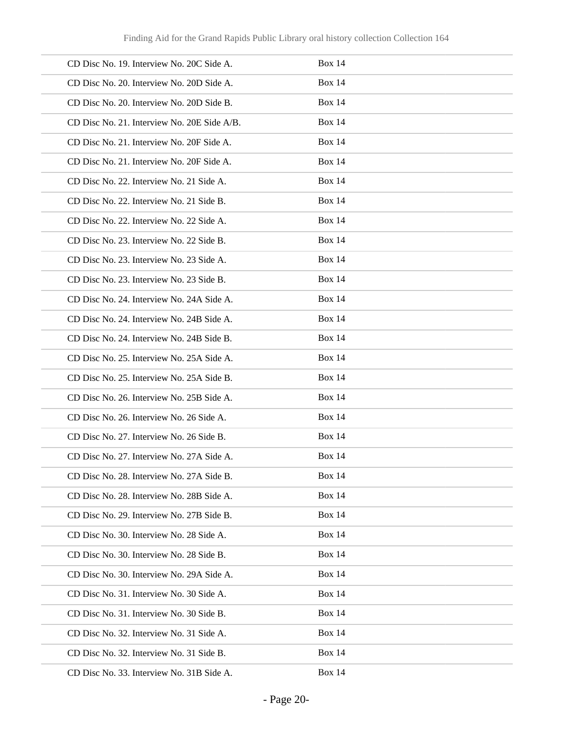| CD Disc No. 19. Interview No. 20C Side A.   | <b>Box 14</b> |
|---------------------------------------------|---------------|
| CD Disc No. 20. Interview No. 20D Side A.   | <b>Box 14</b> |
| CD Disc No. 20. Interview No. 20D Side B.   | <b>Box 14</b> |
| CD Disc No. 21. Interview No. 20E Side A/B. | <b>Box 14</b> |
| CD Disc No. 21. Interview No. 20F Side A.   | <b>Box 14</b> |
| CD Disc No. 21. Interview No. 20F Side A.   | <b>Box 14</b> |
| CD Disc No. 22. Interview No. 21 Side A.    | <b>Box 14</b> |
| CD Disc No. 22. Interview No. 21 Side B.    | <b>Box 14</b> |
| CD Disc No. 22. Interview No. 22 Side A.    | <b>Box 14</b> |
| CD Disc No. 23. Interview No. 22 Side B.    | <b>Box 14</b> |
| CD Disc No. 23. Interview No. 23 Side A.    | <b>Box 14</b> |
| CD Disc No. 23. Interview No. 23 Side B.    | <b>Box 14</b> |
| CD Disc No. 24. Interview No. 24A Side A.   | <b>Box 14</b> |
| CD Disc No. 24. Interview No. 24B Side A.   | <b>Box 14</b> |
| CD Disc No. 24. Interview No. 24B Side B.   | <b>Box 14</b> |
| CD Disc No. 25. Interview No. 25A Side A.   | <b>Box 14</b> |
| CD Disc No. 25. Interview No. 25A Side B.   | <b>Box 14</b> |
| CD Disc No. 26. Interview No. 25B Side A.   | <b>Box 14</b> |
| CD Disc No. 26. Interview No. 26 Side A.    | <b>Box 14</b> |
| CD Disc No. 27. Interview No. 26 Side B.    | <b>Box 14</b> |
| CD Disc No. 27. Interview No. 27A Side A.   | <b>Box 14</b> |
| CD Disc No. 28. Interview No. 27A Side B.   | <b>Box 14</b> |
| CD Disc No. 28. Interview No. 28B Side A.   | <b>Box 14</b> |
| CD Disc No. 29. Interview No. 27B Side B.   | <b>Box 14</b> |
| CD Disc No. 30. Interview No. 28 Side A.    | <b>Box 14</b> |
| CD Disc No. 30. Interview No. 28 Side B.    | <b>Box 14</b> |
| CD Disc No. 30. Interview No. 29A Side A.   | <b>Box 14</b> |
| CD Disc No. 31. Interview No. 30 Side A.    | <b>Box 14</b> |
| CD Disc No. 31. Interview No. 30 Side B.    | <b>Box 14</b> |
| CD Disc No. 32. Interview No. 31 Side A.    | <b>Box 14</b> |
| CD Disc No. 32. Interview No. 31 Side B.    | <b>Box 14</b> |
| CD Disc No. 33. Interview No. 31B Side A.   | <b>Box 14</b> |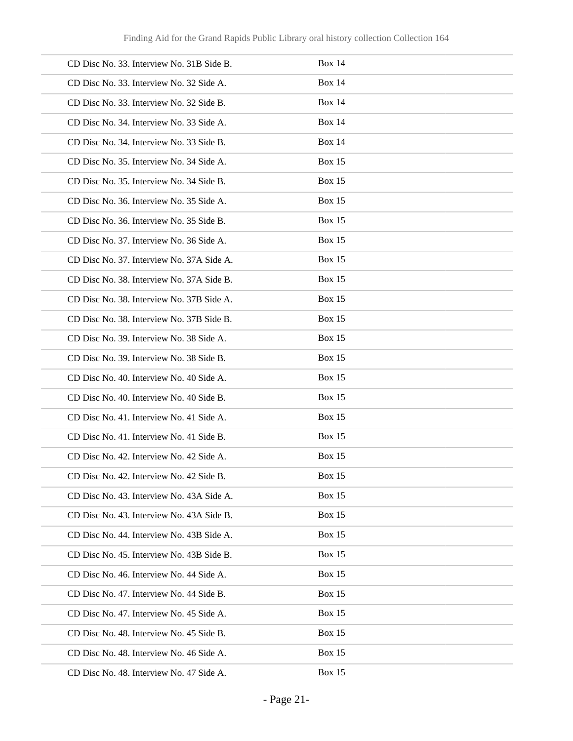| CD Disc No. 33. Interview No. 31B Side B. | <b>Box 14</b> |
|-------------------------------------------|---------------|
| CD Disc No. 33. Interview No. 32 Side A.  | <b>Box 14</b> |
| CD Disc No. 33. Interview No. 32 Side B.  | <b>Box 14</b> |
| CD Disc No. 34. Interview No. 33 Side A.  | <b>Box 14</b> |
| CD Disc No. 34. Interview No. 33 Side B.  | <b>Box 14</b> |
| CD Disc No. 35. Interview No. 34 Side A.  | <b>Box 15</b> |
| CD Disc No. 35. Interview No. 34 Side B.  | <b>Box 15</b> |
| CD Disc No. 36. Interview No. 35 Side A.  | <b>Box 15</b> |
| CD Disc No. 36. Interview No. 35 Side B.  | <b>Box 15</b> |
| CD Disc No. 37. Interview No. 36 Side A.  | <b>Box 15</b> |
| CD Disc No. 37. Interview No. 37A Side A. | <b>Box 15</b> |
| CD Disc No. 38. Interview No. 37A Side B. | <b>Box 15</b> |
| CD Disc No. 38. Interview No. 37B Side A. | <b>Box 15</b> |
| CD Disc No. 38. Interview No. 37B Side B. | <b>Box 15</b> |
| CD Disc No. 39. Interview No. 38 Side A.  | <b>Box 15</b> |
| CD Disc No. 39. Interview No. 38 Side B.  | <b>Box 15</b> |
| CD Disc No. 40. Interview No. 40 Side A.  | <b>Box 15</b> |
| CD Disc No. 40. Interview No. 40 Side B.  | <b>Box 15</b> |
| CD Disc No. 41. Interview No. 41 Side A.  | <b>Box 15</b> |
| CD Disc No. 41. Interview No. 41 Side B.  | <b>Box 15</b> |
| CD Disc No. 42. Interview No. 42 Side A.  | <b>Box 15</b> |
| CD Disc No. 42. Interview No. 42 Side B.  | Box $15$      |
| CD Disc No. 43. Interview No. 43A Side A. | <b>Box 15</b> |
| CD Disc No. 43. Interview No. 43A Side B. | <b>Box 15</b> |
| CD Disc No. 44. Interview No. 43B Side A. | <b>Box 15</b> |
| CD Disc No. 45. Interview No. 43B Side B. | <b>Box 15</b> |
| CD Disc No. 46. Interview No. 44 Side A.  | <b>Box 15</b> |
| CD Disc No. 47. Interview No. 44 Side B.  | <b>Box 15</b> |
| CD Disc No. 47. Interview No. 45 Side A.  | <b>Box 15</b> |
| CD Disc No. 48. Interview No. 45 Side B.  | <b>Box 15</b> |
| CD Disc No. 48. Interview No. 46 Side A.  | <b>Box 15</b> |
| CD Disc No. 48. Interview No. 47 Side A.  | <b>Box 15</b> |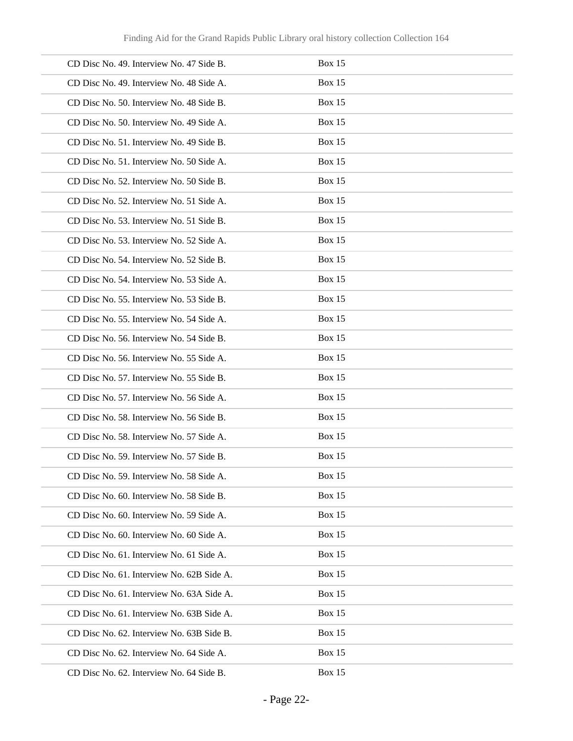| CD Disc No. 49. Interview No. 47 Side B.  | <b>Box 15</b> |
|-------------------------------------------|---------------|
| CD Disc No. 49. Interview No. 48 Side A.  | <b>Box 15</b> |
| CD Disc No. 50. Interview No. 48 Side B.  | <b>Box 15</b> |
| CD Disc No. 50. Interview No. 49 Side A.  | <b>Box 15</b> |
| CD Disc No. 51. Interview No. 49 Side B.  | Box 15        |
| CD Disc No. 51. Interview No. 50 Side A.  | <b>Box 15</b> |
| CD Disc No. 52. Interview No. 50 Side B.  | <b>Box 15</b> |
| CD Disc No. 52. Interview No. 51 Side A.  | <b>Box 15</b> |
| CD Disc No. 53. Interview No. 51 Side B.  | <b>Box 15</b> |
| CD Disc No. 53. Interview No. 52 Side A.  | <b>Box 15</b> |
| CD Disc No. 54. Interview No. 52 Side B.  | <b>Box 15</b> |
| CD Disc No. 54. Interview No. 53 Side A.  | <b>Box 15</b> |
| CD Disc No. 55. Interview No. 53 Side B.  | <b>Box 15</b> |
| CD Disc No. 55. Interview No. 54 Side A.  | <b>Box 15</b> |
| CD Disc No. 56. Interview No. 54 Side B.  | <b>Box 15</b> |
| CD Disc No. 56. Interview No. 55 Side A.  | <b>Box 15</b> |
| CD Disc No. 57. Interview No. 55 Side B.  | <b>Box 15</b> |
| CD Disc No. 57. Interview No. 56 Side A.  | <b>Box 15</b> |
| CD Disc No. 58. Interview No. 56 Side B.  | <b>Box 15</b> |
| CD Disc No. 58. Interview No. 57 Side A.  | <b>Box 15</b> |
| CD Disc No. 59. Interview No. 57 Side B.  | Box 15        |
| CD Disc No. 59. Interview No. 58 Side A.  | <b>Box 15</b> |
| CD Disc No. 60. Interview No. 58 Side B.  | Box 15        |
| CD Disc No. 60. Interview No. 59 Side A.  | Box 15        |
| CD Disc No. 60. Interview No. 60 Side A.  | <b>Box 15</b> |
| CD Disc No. 61. Interview No. 61 Side A.  | Box 15        |
| CD Disc No. 61. Interview No. 62B Side A. | Box 15        |
| CD Disc No. 61. Interview No. 63A Side A. | <b>Box 15</b> |
| CD Disc No. 61. Interview No. 63B Side A. | Box 15        |
| CD Disc No. 62. Interview No. 63B Side B. | Box 15        |
| CD Disc No. 62. Interview No. 64 Side A.  | Box 15        |
| CD Disc No. 62. Interview No. 64 Side B.  | Box 15        |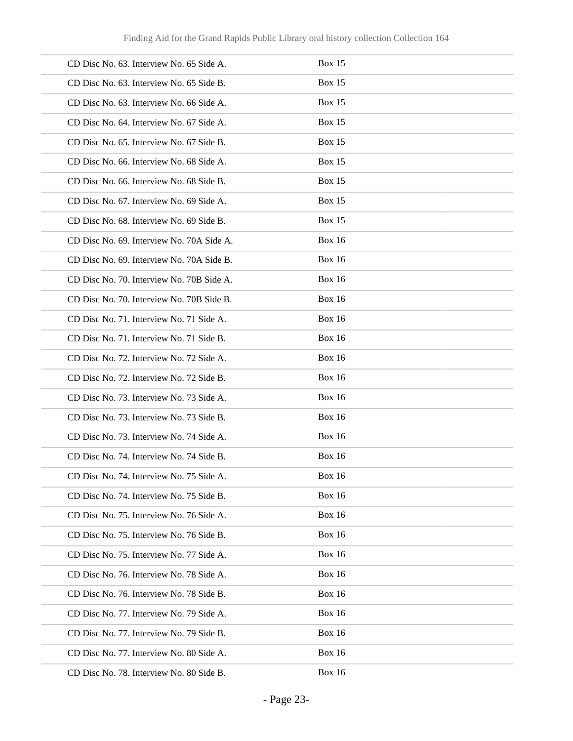| CD Disc No. 63. Interview No. 65 Side A.  | <b>Box 15</b> |
|-------------------------------------------|---------------|
| CD Disc No. 63. Interview No. 65 Side B.  | <b>Box 15</b> |
| CD Disc No. 63. Interview No. 66 Side A.  | <b>Box 15</b> |
| CD Disc No. 64. Interview No. 67 Side A.  | <b>Box 15</b> |
| CD Disc No. 65. Interview No. 67 Side B.  | <b>Box 15</b> |
| CD Disc No. 66. Interview No. 68 Side A.  | <b>Box 15</b> |
| CD Disc No. 66. Interview No. 68 Side B.  | <b>Box 15</b> |
| CD Disc No. 67. Interview No. 69 Side A.  | <b>Box 15</b> |
| CD Disc No. 68. Interview No. 69 Side B.  | <b>Box 15</b> |
| CD Disc No. 69. Interview No. 70A Side A. | <b>Box 16</b> |
| CD Disc No. 69. Interview No. 70A Side B. | <b>Box 16</b> |
| CD Disc No. 70. Interview No. 70B Side A. | <b>Box 16</b> |
| CD Disc No. 70. Interview No. 70B Side B. | <b>Box 16</b> |
| CD Disc No. 71. Interview No. 71 Side A.  | <b>Box 16</b> |
| CD Disc No. 71. Interview No. 71 Side B.  | <b>Box 16</b> |
| CD Disc No. 72. Interview No. 72 Side A.  | <b>Box 16</b> |
| CD Disc No. 72. Interview No. 72 Side B.  | <b>Box 16</b> |
| CD Disc No. 73. Interview No. 73 Side A.  | <b>Box 16</b> |
| CD Disc No. 73. Interview No. 73 Side B.  | <b>Box 16</b> |
| CD Disc No. 73. Interview No. 74 Side A.  | <b>Box 16</b> |
| CD Disc No. 74. Interview No. 74 Side B.  | <b>Box 16</b> |
| CD Disc No. 74. Interview No. 75 Side A.  | <b>Box 16</b> |
| CD Disc No. 74. Interview No. 75 Side B.  | <b>Box 16</b> |
| CD Disc No. 75. Interview No. 76 Side A.  | <b>Box 16</b> |
| CD Disc No. 75. Interview No. 76 Side B.  | <b>Box 16</b> |
| CD Disc No. 75. Interview No. 77 Side A.  | <b>Box 16</b> |
| CD Disc No. 76. Interview No. 78 Side A.  | <b>Box 16</b> |
| CD Disc No. 76. Interview No. 78 Side B.  | <b>Box 16</b> |
| CD Disc No. 77. Interview No. 79 Side A.  | <b>Box 16</b> |
| CD Disc No. 77. Interview No. 79 Side B.  | <b>Box 16</b> |
| CD Disc No. 77. Interview No. 80 Side A.  | <b>Box 16</b> |
| CD Disc No. 78. Interview No. 80 Side B.  | <b>Box 16</b> |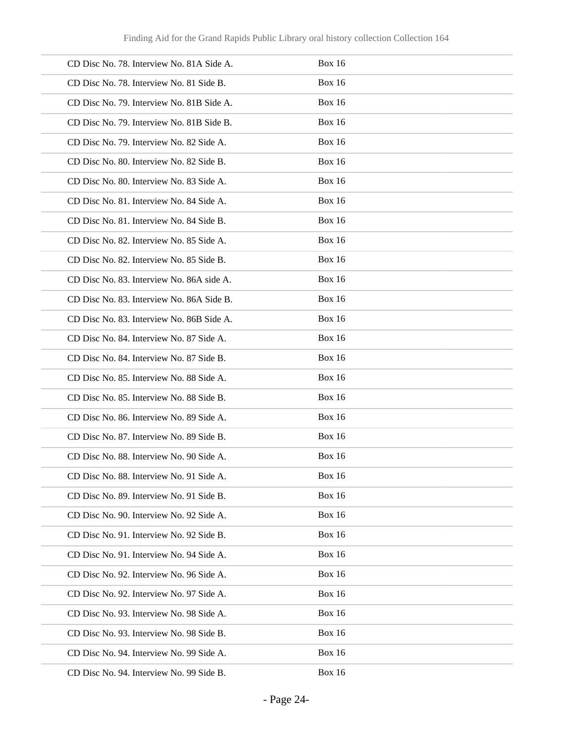| CD Disc No. 78. Interview No. 81A Side A. | <b>Box 16</b> |
|-------------------------------------------|---------------|
| CD Disc No. 78. Interview No. 81 Side B.  | <b>Box 16</b> |
| CD Disc No. 79. Interview No. 81B Side A. | <b>Box 16</b> |
| CD Disc No. 79. Interview No. 81B Side B. | <b>Box 16</b> |
| CD Disc No. 79. Interview No. 82 Side A.  | <b>Box 16</b> |
| CD Disc No. 80. Interview No. 82 Side B.  | <b>Box 16</b> |
| CD Disc No. 80. Interview No. 83 Side A.  | <b>Box 16</b> |
| CD Disc No. 81. Interview No. 84 Side A.  | <b>Box 16</b> |
| CD Disc No. 81. Interview No. 84 Side B.  | <b>Box 16</b> |
| CD Disc No. 82. Interview No. 85 Side A.  | <b>Box 16</b> |
| CD Disc No. 82. Interview No. 85 Side B.  | <b>Box 16</b> |
| CD Disc No. 83. Interview No. 86A side A. | <b>Box 16</b> |
| CD Disc No. 83. Interview No. 86A Side B. | <b>Box 16</b> |
| CD Disc No. 83. Interview No. 86B Side A. | <b>Box 16</b> |
| CD Disc No. 84. Interview No. 87 Side A.  | <b>Box 16</b> |
| CD Disc No. 84. Interview No. 87 Side B.  | <b>Box 16</b> |
| CD Disc No. 85. Interview No. 88 Side A.  | <b>Box 16</b> |
| CD Disc No. 85. Interview No. 88 Side B.  | <b>Box 16</b> |
| CD Disc No. 86. Interview No. 89 Side A.  | <b>Box 16</b> |
| CD Disc No. 87. Interview No. 89 Side B.  | <b>Box 16</b> |
| CD Disc No. 88. Interview No. 90 Side A.  | <b>Box 16</b> |
| CD Disc No. 88. Interview No. 91 Side A.  | <b>Box 16</b> |
| CD Disc No. 89. Interview No. 91 Side B.  | <b>Box 16</b> |
| CD Disc No. 90. Interview No. 92 Side A.  | <b>Box 16</b> |
| CD Disc No. 91. Interview No. 92 Side B.  | <b>Box 16</b> |
| CD Disc No. 91. Interview No. 94 Side A.  | <b>Box 16</b> |
| CD Disc No. 92. Interview No. 96 Side A.  | <b>Box 16</b> |
| CD Disc No. 92. Interview No. 97 Side A.  | <b>Box 16</b> |
| CD Disc No. 93. Interview No. 98 Side A.  | <b>Box 16</b> |
| CD Disc No. 93. Interview No. 98 Side B.  | <b>Box 16</b> |
| CD Disc No. 94. Interview No. 99 Side A.  | <b>Box 16</b> |
| CD Disc No. 94. Interview No. 99 Side B.  | <b>Box 16</b> |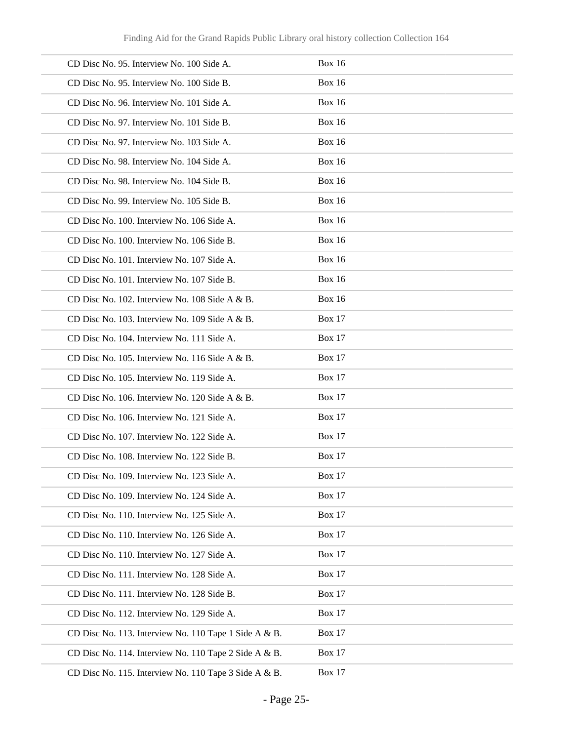| CD Disc No. 95. Interview No. 100 Side A.             | <b>Box 16</b> |
|-------------------------------------------------------|---------------|
| CD Disc No. 95. Interview No. 100 Side B.             | <b>Box 16</b> |
| CD Disc No. 96. Interview No. 101 Side A.             | <b>Box 16</b> |
| CD Disc No. 97. Interview No. 101 Side B.             | <b>Box 16</b> |
| CD Disc No. 97. Interview No. 103 Side A.             | <b>Box 16</b> |
| CD Disc No. 98. Interview No. 104 Side A.             | <b>Box 16</b> |
| CD Disc No. 98. Interview No. 104 Side B.             | <b>Box 16</b> |
| CD Disc No. 99. Interview No. 105 Side B.             | <b>Box 16</b> |
| CD Disc No. 100. Interview No. 106 Side A.            | <b>Box 16</b> |
| CD Disc No. 100. Interview No. 106 Side B.            | <b>Box 16</b> |
| CD Disc No. 101. Interview No. 107 Side A.            | <b>Box 16</b> |
| CD Disc No. 101. Interview No. 107 Side B.            | <b>Box 16</b> |
| CD Disc No. 102. Interview No. 108 Side A & B.        | <b>Box 16</b> |
| CD Disc No. 103. Interview No. 109 Side A & B.        | <b>Box 17</b> |
| CD Disc No. 104. Interview No. 111 Side A.            | <b>Box 17</b> |
| CD Disc No. 105. Interview No. 116 Side A & B.        | <b>Box 17</b> |
| CD Disc No. 105. Interview No. 119 Side A.            | <b>Box 17</b> |
| CD Disc No. 106. Interview No. 120 Side A & B.        | <b>Box 17</b> |
| CD Disc No. 106. Interview No. 121 Side A.            | <b>Box 17</b> |
| CD Disc No. 107. Interview No. 122 Side A.            | <b>Box 17</b> |
| CD Disc No. 108. Interview No. 122 Side B.            | <b>Box 17</b> |
| CD Disc No. 109. Interview No. 123 Side A.            | <b>Box 17</b> |
| CD Disc No. 109. Interview No. 124 Side A.            | <b>Box 17</b> |
| CD Disc No. 110. Interview No. 125 Side A.            | <b>Box 17</b> |
| CD Disc No. 110. Interview No. 126 Side A.            | <b>Box 17</b> |
| CD Disc No. 110. Interview No. 127 Side A.            | <b>Box 17</b> |
| CD Disc No. 111. Interview No. 128 Side A.            | <b>Box 17</b> |
| CD Disc No. 111. Interview No. 128 Side B.            | <b>Box 17</b> |
| CD Disc No. 112. Interview No. 129 Side A.            | <b>Box 17</b> |
| CD Disc No. 113. Interview No. 110 Tape 1 Side A & B. | <b>Box 17</b> |
| CD Disc No. 114. Interview No. 110 Tape 2 Side A & B. | <b>Box 17</b> |
| CD Disc No. 115. Interview No. 110 Tape 3 Side A & B. | <b>Box 17</b> |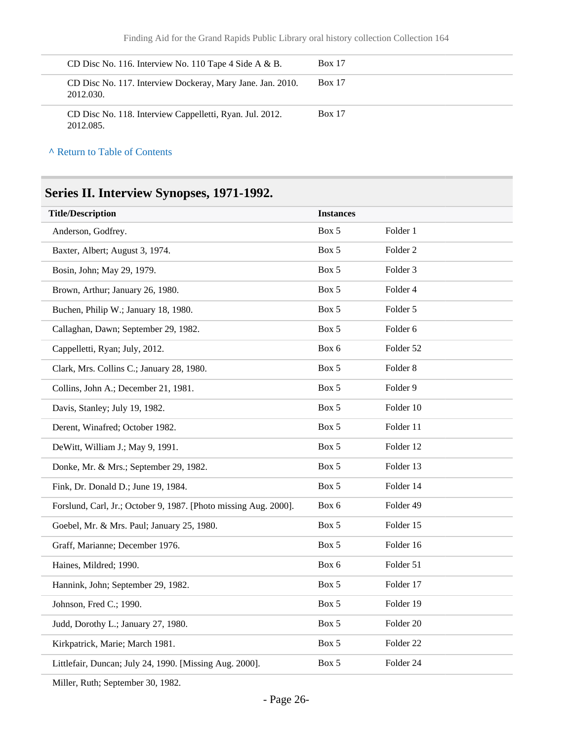| CD Disc No. 116. Interview No. 110 Tape 4 Side A $\&$ B.                | <b>Box 17</b> |
|-------------------------------------------------------------------------|---------------|
| CD Disc No. 117. Interview Dockeray, Mary Jane. Jan. 2010.<br>2012.030. | <b>Box 17</b> |
| CD Disc No. 118. Interview Cappelletti, Ryan. Jul. 2012.<br>2012.085.   | <b>Box 17</b> |

**^** [Return to Table of Contents](#page-1-0)

## <span id="page-25-0"></span>**Series II. Interview Synopses, 1971-1992.**

| <b>Title/Description</b>                                         | <b>Instances</b> |                      |
|------------------------------------------------------------------|------------------|----------------------|
| Anderson, Godfrey.                                               | Box 5            | Folder 1             |
| Baxter, Albert; August 3, 1974.                                  | Box 5            | Folder <sub>2</sub>  |
| Bosin, John; May 29, 1979.                                       | Box 5            | Folder 3             |
| Brown, Arthur; January 26, 1980.                                 | Box 5            | Folder 4             |
| Buchen, Philip W.; January 18, 1980.                             | Box 5            | Folder 5             |
| Callaghan, Dawn; September 29, 1982.                             | Box 5            | Folder 6             |
| Cappelletti, Ryan; July, 2012.                                   | Box 6            | Folder 52            |
| Clark, Mrs. Collins C.; January 28, 1980.                        | Box 5            | Folder 8             |
| Collins, John A.; December 21, 1981.                             | Box 5            | Folder 9             |
| Davis, Stanley; July 19, 1982.                                   | Box 5            | Folder 10            |
| Derent, Winafred; October 1982.                                  | Box 5            | Folder 11            |
| DeWitt, William J.; May 9, 1991.                                 | Box 5            | Folder 12            |
| Donke, Mr. & Mrs.; September 29, 1982.                           | Box 5            | Folder 13            |
| Fink, Dr. Donald D.; June 19, 1984.                              | Box 5            | Folder 14            |
| Forslund, Carl, Jr.; October 9, 1987. [Photo missing Aug. 2000]. | Box 6            | Folder 49            |
| Goebel, Mr. & Mrs. Paul; January 25, 1980.                       | Box 5            | Folder 15            |
| Graff, Marianne; December 1976.                                  | Box 5            | Folder 16            |
| Haines, Mildred; 1990.                                           | Box 6            | Folder 51            |
| Hannink, John; September 29, 1982.                               | Box 5            | Folder 17            |
| Johnson, Fred C.; 1990.                                          | Box 5            | Folder 19            |
| Judd, Dorothy L.; January 27, 1980.                              | Box 5            | Folder 20            |
| Kirkpatrick, Marie; March 1981.                                  | Box 5            | Folder <sub>22</sub> |
| Littlefair, Duncan; July 24, 1990. [Missing Aug. 2000].          | Box 5            | Folder 24            |

Miller, Ruth; September 30, 1982.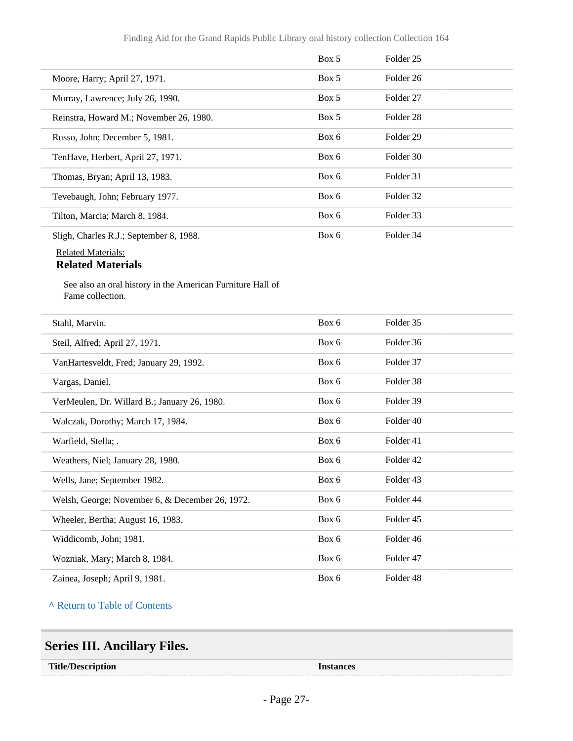|                                                                                | Box 5 | Folder <sub>25</sub> |  |
|--------------------------------------------------------------------------------|-------|----------------------|--|
| Moore, Harry; April 27, 1971.                                                  | Box 5 | Folder 26            |  |
| Murray, Lawrence; July 26, 1990.                                               | Box 5 | Folder 27            |  |
| Reinstra, Howard M.; November 26, 1980.                                        | Box 5 | Folder <sub>28</sub> |  |
| Russo, John; December 5, 1981.                                                 | Box 6 | Folder <sub>29</sub> |  |
| TenHave, Herbert, April 27, 1971.                                              | Box 6 | Folder 30            |  |
| Thomas, Bryan; April 13, 1983.                                                 | Box 6 | Folder 31            |  |
| Tevebaugh, John; February 1977.                                                | Box 6 | Folder 32            |  |
| Tilton, Marcia; March 8, 1984.                                                 | Box 6 | Folder 33            |  |
| Sligh, Charles R.J.; September 8, 1988.                                        | Box 6 | Folder 34            |  |
| <b>Related Materials:</b><br><b>Related Materials</b>                          |       |                      |  |
| See also an oral history in the American Furniture Hall of<br>Fame collection. |       |                      |  |
| Stahl, Marvin.                                                                 | Box 6 | Folder 35            |  |
| Steil, Alfred; April 27, 1971.                                                 | Box 6 | Folder 36            |  |
| VanHartesveldt, Fred; January 29, 1992.                                        | Box 6 | Folder 37            |  |
| Vargas, Daniel.                                                                | Box 6 | Folder 38            |  |
| VerMeulen, Dr. Willard B.; January 26, 1980.                                   | Box 6 | Folder 39            |  |
| Walczak, Dorothy; March 17, 1984.                                              | Box 6 | Folder 40            |  |
| Warfield, Stella; .                                                            | Box 6 | Folder 41            |  |
| Weathers, Niel; January 28, 1980.                                              | Box 6 | Folder 42            |  |
| Wells, Jane; September 1982.                                                   | Box 6 | Folder 43            |  |
| Welsh, George; November 6, & December 26, 1972.                                | Box 6 | Folder 44            |  |
| Wheeler, Bertha; August 16, 1983.                                              | Box 6 | Folder 45            |  |
| Widdicomb, John; 1981.                                                         | Box 6 | Folder 46            |  |
| Wozniak, Mary; March 8, 1984.                                                  | Box 6 | Folder 47            |  |
| Zainea, Joseph; April 9, 1981.                                                 | Box 6 | Folder 48            |  |

**^** [Return to Table of Contents](#page-1-0)

## <span id="page-26-0"></span>**Series III. Ancillary Files.**